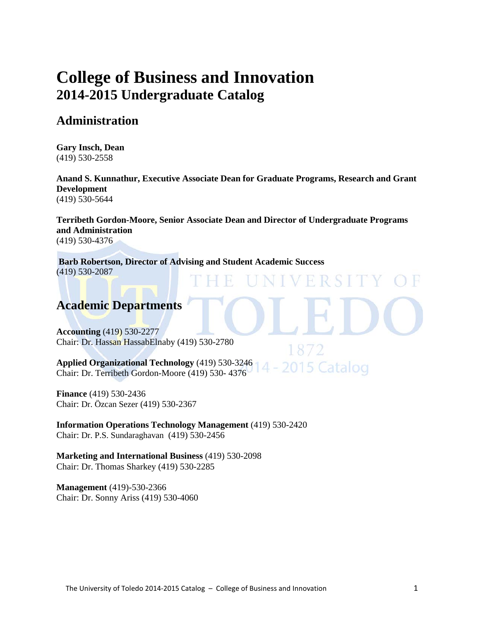# **[College of Business and](http://www.utoledo.edu/business/index.html) Innovation 2014-2015 Undergraduate Catalog**

### **Administration**

**Gary Insch, Dean** (419) 530-2558

**Anand S. Kunnathur, Executive Associate Dean for Graduate Programs, Research and Grant Development**  (419) 530-5644

**Terribeth Gordon-Moore, Senior Associate Dean and Director of Undergraduate Programs and Administration** (419) 530-4376

015 Catalog

**Barb Robertson, Director of Advising and Student Academic Success**  (419) 530-2087

## **Academic Departments**

**[Accounting](http://www.utoledo.edu/business/ACCT/index.html)** (419) 530-2277 Chair: Dr. Hassan HassabElnaby (419) 530-2780

**[Applied Organizational Technology](http://www.utoledo.edu/business/aot/)** (419) 530-3246 Chair: Dr. Terribeth Gordon-Moore (419) 530- 4376

**[Finance](http://www.utoledo.edu/business/FIBE/FIBECCD/FIBEWelcome.asp)** (419) 530-2436 Chair: Dr. Özcan Sezer (419) 530-2367

**[Information Operations Technology Management](http://www.utoledo.edu/business/IOTM/index.html)** (419) 530-2420 Chair: Dr. P.S. Sundaraghavan (419) 530-2456

**[Marketing and International Business](http://www.utoledo.edu/business/MIB/index.html)** (419) 530-2098 Chair: Dr. Thomas Sharkey (419) 530-2285

**[Management](http://www.utoledo.edu/business/MGMT/MGMTCCD/MGMT.html)** (419)-530-2366 Chair: Dr. Sonny Ariss (419) 530-4060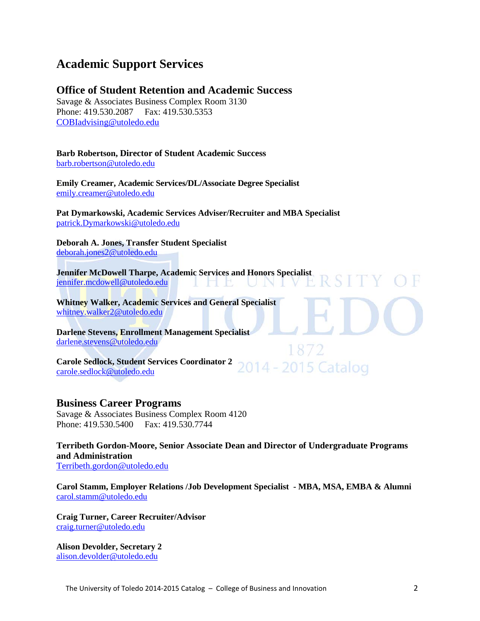## **Academic Support Services**

### **Office of Student Retention and Academic Success**

Savage & Associates Business Complex Room 3130 Phone: 419.530.2087 Fax: 419.530.5353 [COBIadvising@utoledo.edu](mailto:COBIadvising@utoledo.edu)

### **Barb Robertson, Director of Student Academic Success**

[barb.robertson@utoledo.edu](mailto:barb.robertson@utoledo.edu)

**Emily Creamer, Academic Services/DL/Associate Degree Specialist** [emily.creamer@utoledo.edu](mailto:emily.creamer@utoledo.edu)

**Pat Dymarkowski, Academic Services Adviser/Recruiter and MBA Specialist** [patrick.Dymarkowski@utoledo.edu](mailto:patrick.Dymarkowski@utoledo.edu)

**Deborah A. Jones, Transfer Student Specialist**  [deborah.jones2@utoledo.edu](mailto:deborah.jones2@utoledo.edu)

**Jennifer McDowell Tharpe, Academic Services and Honors Specialist**  [jennifer.mcdowell@utoledo.edu](mailto:jennifer.mcdowell@utoledo.edu) NIV ПU.

**Whitney Walker, Academic Services and General Specialist** [whitney.walker2@utoledo.edu](mailto:whitney.walker2@utoledo.edu)

**Darlene Stevens, Enrollment Management Specialist**  [darlene.stevens@utoledo.edu](mailto:darlene.stevens@utoledo.edu)

**Carole Sedlock, Student Services Coordinator 2** 2014 - 2015 Catalog [carole.sedlock@utoledo.edu](mailto:carole.sedlock@utoledo.edu)

### **Business Career Programs**

Savage & Associates Business Complex Room 4120 Phone: 419.530.5400 Fax: 419.530.7744

**Terribeth Gordon-Moore, Senior Associate Dean and Director of Undergraduate Programs and Administration**

[Terribeth.gordon@utoledo.edu](mailto:Terribeth.gordon@utoledo.edu)

**Carol Stamm, Employer Relations /Job Development Specialist - MBA, MSA, EMBA & Alumni** [carol.stamm@utoledo.edu](mailto:carol.stamm@utoledo.edu)

**Craig Turner, Career Recruiter/Advisor** [craig.turner@utoledo.edu](mailto:craig.turner@utoledo.edu)

**Alison Devolder, Secretary 2** [alison.devolder@utoledo.edu](mailto:alison.devolder@utoledo.edu)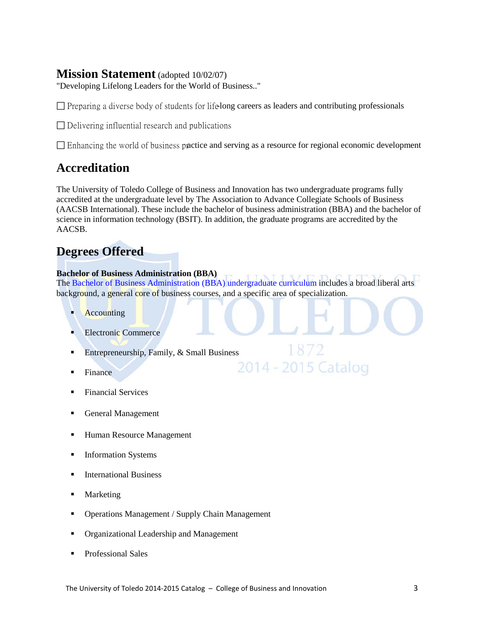### **Mission Statement** (adopted 10/02/07)

"Developing Lifelong Leaders for the World of Business.."

 $\Box$  Preparing a diverse body of students for life-long careers as leaders and contributing professionals

 $\Box$  Delivering influential research and publications

Enhancing the world of business practice and serving as a resource for regional economic development

# **Accreditation**

The University of Toledo College of Business and Innovation has two undergraduate programs fully accredited at the undergraduate level by [The Association to Advance Collegiate Schools of Business](http://www.aacsb.edu/) (AACSB International). These include the bachelor of business administration (BBA) and the bachelor of science in information technology (BSIT). In addition, the graduate programs are accredited by the AACSB.

# **[Degrees Offered](http://www.utoledo.edu/business/COBA/AcademicPrograms.html)**

### **[Bachelor of Business Administration](http://www.utoledo.edu/business/COBAProspectiveStudents/index.html) (BBA)**

The [Bachelor of Business Administration \(BBA\) undergraduate curriculum](http://www.utoledo.edu/business/FIBE/FIBEPSBBASample.html) includes a broad liberal arts background, a general core of business courses, and a specific area of specialization.

1872

2014 - 2015 Catalog

- **Accounting**
- Electronic Commerce
- Entrepreneurship, Family,  $&$  Small Business
- Finance
- [Financial Services](http://utoledo.edu/business/COBAProspectiveStudents/COBAPSDocs/Financial_Services.pdf)
- General Management
- Human Resource Management
- **Information Systems**
- **International Business**
- Marketing
- Operations Management [/ Supply Chain Management](http://utoledo.edu/business/COBAProspectiveStudents/COBAPSDocs/Operations_Management.pdf)
- [Organizational Leadership and Management](http://utoledo.edu/business/COBAProspectiveStudents/COBAPSDocs/Organizational_Leadership_and_.pdf)
- **Professional Sales**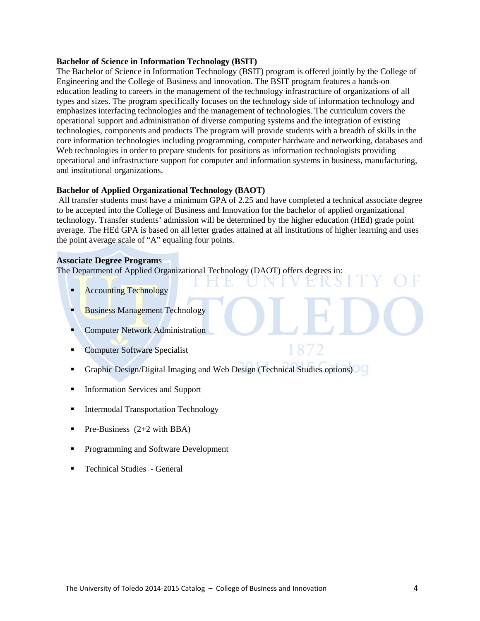#### **[Bachelor of Science in Information Technology \(BSIT\)](http://www.utoledo.edu/business/academic_programs/bsit.html)**

The Bachelor of Science in Information Technology (BSIT) program is offered jointly by the College of Engineering and the College of Business and innovation. The BSIT program features a hands-on education leading to careers in the management of the technology infrastructure of organizations of all types and sizes. The program specifically focuses on the technology side of information technology and emphasizes interfacing technologies and the management of technologies. The curriculum covers the operational support and administration of diverse computing systems and the integration of existing technologies, components and products The program will provide students with a breadth of skills in the core information technologies including programming, computer hardware and networking, databases and Web technologies in order to prepare students for positions as information technologists providing operational and infrastructure support for computer and information systems in business, manufacturing, and institutional organizations.

#### **[Bachelor of Applied Organizational Technology \(BAOT\)](http://www.utoledo.edu/business/academic_programs/applied_organization_technolog.html)**

All transfer students must have a minimum GPA of 2.25 and have completed a technical associate degree to be accepted into the College of Business and Innovation for the bachelor of applied organizational technology. Transfer students' admission will be determined by the higher education (HEd) grade point average. The HEd GPA is based on all letter grades attained at all institutions of higher learning and uses the point average scale of "A" equaling four points.

#### **[Associate Degree Program](http://www.utoledo.edu/business/aot/)**s

The Department of Applied Organizational Technology (DAOT) offers degrees in:

- **Accounting Technology**
- Business Management Technology
- Computer Network Administration
- Computer Software Specialist
- Graphic Design/Digital Imaging and Web Design (Technical Studies options)
- Information Services and Support
- **Intermodal Transportation Technology**
- Pre-Business  $(2+2 \text{ with } BBA)$
- **Programming and Software Development**
- **Technical Studies General**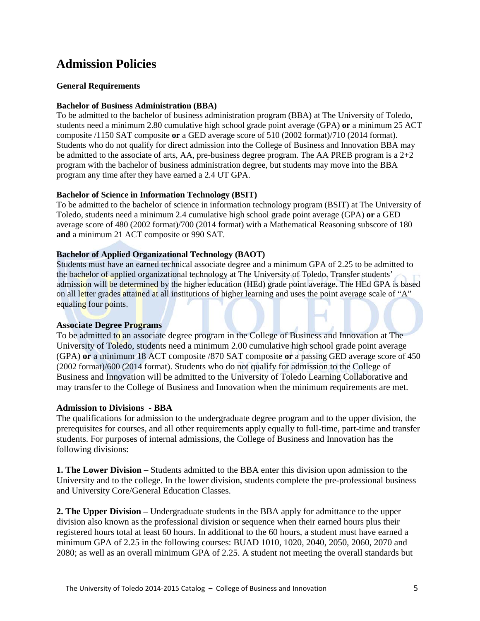# **Admission Policies**

### **General Requirements**

### **Bachelor of Business Administration (BBA)**

To be admitted to the bachelor of business administration program (BBA) at The University of Toledo, students need a minimum 2.80 cumulative high school grade point average (GPA) **or** a minimum 25 ACT composite /1150 SAT composite **or** a GED average score of 510 (2002 format)/710 (2014 format). Students who do not qualify for direct admission into the College of Business and Innovation BBA may be admitted to the associate of arts, AA, pre-business degree program. The AA PREB program is a  $2+2$ program with the bachelor of business administration degree, but students may move into the BBA program any time after they have earned a 2.4 UT GPA.

### **Bachelor of Science in Information Technology (BSIT)**

To be admitted to the bachelor of science in information technology program (BSIT) at The University of Toledo, students need a minimum 2.4 cumulative high school grade point average (GPA) **or** a GED average score of 480 (2002 format)/700 (2014 format) with a Mathematical Reasoning subscore of 180 **and** a minimum 21 ACT composite or 990 SAT.

### **Bachelor of Applied Organizational Technology (BAOT)**

Students must have an earned technical associate degree and a minimum GPA of 2.25 to be admitted to the bachelor of applied organizational technology at The University of Toledo. Transfer students' admission will be determined by the higher education (HEd) grade point average. The HEd GPA is based on all letter grades attained at all institutions of higher learning and uses the point average scale of "A" equaling four points.

### **Associate Degree Programs**

To be admitted to an associate degree program in the College of Business and Innovation at The University of Toledo, students need a minimum 2.00 cumulative high school grade point average (GPA) **or** a minimum 18 ACT composite /870 SAT composite **or** a passing GED average score of 450 (2002 format)/600 (2014 format). Students who do not qualify for admission to the College of Business and Innovation will be admitted to the University of Toledo Learning Collaborative and may transfer to the College of Business and Innovation when the minimum requirements are met.

### **Admission to Divisions - BBA**

The qualifications for admission to the undergraduate degree program and to the upper division, the prerequisites for courses, and all other requirements apply equally to full-time, part-time and transfer students. For purposes of internal admissions, the College of Business and Innovation has the following divisions:

**1. The Lower Division –** Students admitted to the BBA enter this division upon admission to the University and to the college. In the lower division, students complete the pre-professional business and University Core/General Education Classes.

**2. The Upper Division –** Undergraduate students in the BBA apply for admittance to the upper division also known as the professional division or sequence when their earned hours plus their registered hours total at least 60 hours. In additional to the 60 hours, a student must have earned a minimum GPA of 2.25 in the following courses: BUAD 1010, 1020, 2040, 2050, 2060, 2070 and 2080; as well as an overall minimum GPA of 2.25. A student not meeting the overall standards but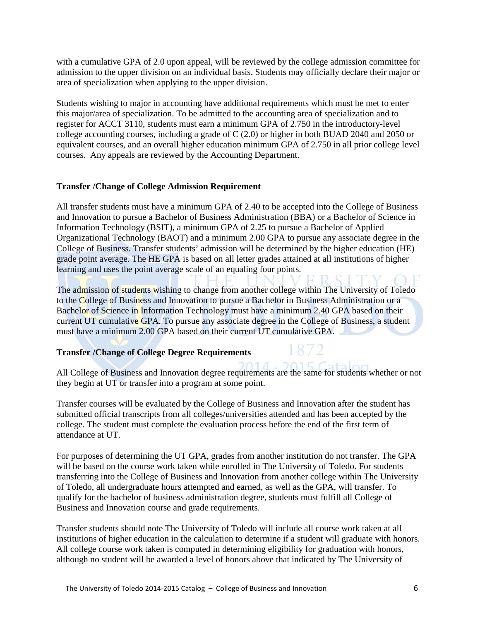with a cumulative GPA of 2.0 upon appeal, will be reviewed by the college admission committee for admission to the upper division on an individual basis. Students may officially declare their major or area of specialization when applying to the upper division.

Students wishing to major in accounting have additional requirements which must be met to enter this major/area of specialization. To be admitted to the accounting area of specialization and to register for ACCT 3110, students must earn a minimum GPA of 2.750 in the introductory-level college accounting courses, including a grade of C (2.0) or higher in both BUAD 2040 and 2050 or equivalent courses, and an overall higher education minimum GPA of 2.750 in all prior college level courses. Any appeals are reviewed by the Accounting Department.

### **Transfer /Change of College Admission Requirement**

All transfer students must have a minimum GPA of 2.40 to be accepted into the College of Business and Innovation to pursue a Bachelor of Business Administration (BBA) or a Bachelor of Science in Information Technology (BSIT), a minimum GPA of 2.25 to pursue a Bachelor of Applied Organizational Technology (BAOT) and a minimum 2.00 GPA to pursue any associate degree in the College of Business. Transfer students' admission will be determined by the higher education (HE) grade point average. The HE GPA is based on all letter grades attained at all institutions of higher learning and uses the point average scale of an equaling four points.

The admission of students wishing to change from another college within The University of Toledo to the College of Business and Innovation to pursue a Bachelor in Business Administration or a Bachelor of Science in Information Technology must have a minimum 2.40 GPA based on their current UT cumulative GPA. To pursue any associate degree in the College of Business, a student must have a minimum 2.00 GPA based on their current UT cumulative GPA.

### **Transfer /Change of College Degree Requirements**

All College of Business and Innovation degree requirements are the same for students whether or not they begin at UT or transfer into a program at some point.

Transfer courses will be evaluated by the College of Business and Innovation after the student has submitted official transcripts from all colleges/universities attended and has been accepted by the college. The student must complete the evaluation process before the end of the first term of attendance at UT.

For purposes of determining the UT GPA, grades from another institution do not transfer. The GPA will be based on the course work taken while enrolled in The University of Toledo. For students transferring into the College of Business and Innovation from another college within The University of Toledo, all undergraduate hours attempted and earned, as well as the GPA, will transfer. To qualify for the bachelor of business administration degree, students must fulfill all College of Business and Innovation course and grade requirements.

Transfer students should note The University of Toledo will include all course work taken at all institutions of higher education in the calculation to determine if a student will graduate with honors. All college course work taken is computed in determining eligibility for graduation with honors, although no student will be awarded a level of honors above that indicated by The University of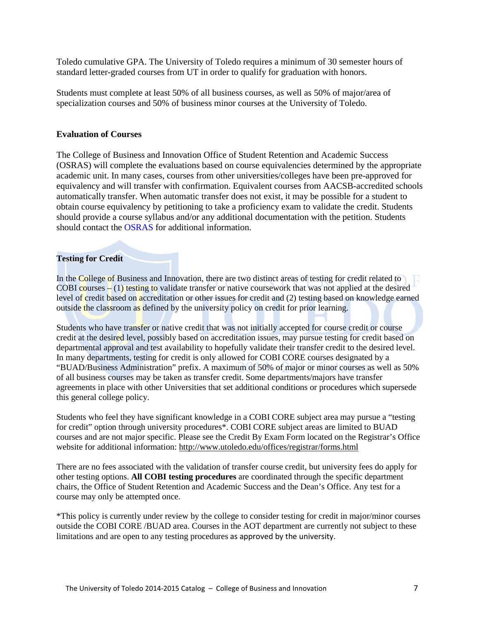Toledo cumulative GPA. The University of Toledo requires a minimum of 30 semester hours of standard letter-graded courses from UT in order to qualify for graduation with honors.

Students must complete at least 50% of all business courses, as well as 50% of major/area of specialization courses and 50% of business minor courses at the University of Toledo.

#### **Evaluation of Courses**

The College of Business and Innovation Office of Student Retention and Academic Success (OSRAS) will complete the evaluations based on course equivalencies determined by the appropriate academic unit. In many cases, courses from other universities/colleges have been pre-approved for equivalency and will transfer with confirmation. Equivalent courses from AACSB-accredited schools automatically transfer. When automatic transfer does not exist, it may be possible for a student to obtain course equivalency by petitioning to take a proficiency exam to validate the credit. Students should provide a course syllabus and/or any additional documentation with the petition. Students should contact the [OSRAS](http://www.utoledo.edu/business/StuServ/index.html) for additional information.

### **Testing for Credit**

In the College of Business and Innovation, there are two distinct areas of testing for credit related to COBI courses – (1) testing to validate transfer or native coursework that was not applied at the desired level of credit based on accreditation or other issues for credit and (2) testing based on knowledge earned outside the classroom as defined by the university policy on credit for prior learning.

Students who have transfer or native credit that was not initially accepted for course credit or course credit at the desired level, possibly based on accreditation issues, may pursue testing for credit based on departmental approval and test availability to hopefully validate their transfer credit to the desired level. In many departments, testing for credit is only allowed for COBI CORE courses designated by a "BUAD/Business Administration" prefix. A maximum of 50% of major or minor courses as well as 50% of all business courses may be taken as transfer credit. Some departments/majors have transfer agreements in place with other Universities that set additional conditions or procedures which supersede this general college policy.

Students who feel they have significant knowledge in a COBI CORE subject area may pursue a "testing for credit" option through university procedures\*. COBI CORE subject areas are limited to BUAD courses and are not major specific. Please see the Credit By Exam Form located on the Registrar's Office website for additional information:<http://www.utoledo.edu/offices/registrar/forms.html>

There are no fees associated with the validation of transfer course credit, but university fees do apply for other testing options. **All COBI testing procedures** are coordinated through the specific department chairs, the Office of Student Retention and Academic Success and the Dean's Office. Any test for a course may only be attempted once.

\*This policy is currently under review by the college to consider testing for credit in major/minor courses outside the COBI CORE /BUAD area. Courses in the AOT department are currently not subject to these limitations and are open to any testing procedures as approved by the university.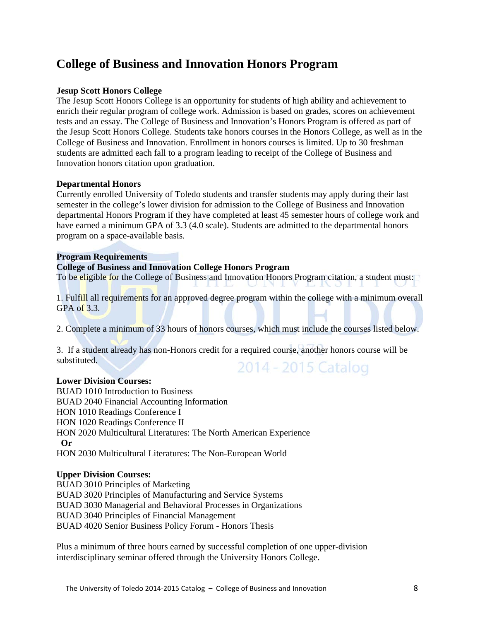# **College of Business and Innovation Honors Program**

### **Jesup Scott Honors College**

The Jesup Scott Honors College is an opportunity for students of high ability and achievement to enrich their regular program of college work. Admission is based on grades, scores on achievement tests and an essay. The College of Business and Innovation's Honors Program is offered as part of the Jesup Scott Honors College. Students take honors courses in the Honors College, as well as in the College of Business and Innovation. Enrollment in honors courses is limited. Up to 30 freshman students are admitted each fall to a program leading to receipt of the College of Business and Innovation honors citation upon graduation.

### **Departmental Honors**

Currently enrolled University of Toledo students and transfer students may apply during their last semester in the college's lower division for admission to the College of Business and Innovation departmental Honors Program if they have completed at least 45 semester hours of college work and have earned a minimum GPA of 3.3 (4.0 scale). Students are admitted to the departmental honors program on a space-available basis.

#### **Program Requirements**

#### **College of Business and Innovation College Honors Program**

To be eligible for the College of Business and Innovation Honors Program citation, a student must:

1. Fulfill all requirements for an approved degree program within the college with a minimum overall GPA of 3.3.

2. Complete a minimum of 33 hours of honors courses, which must include the courses listed below.

3. If a student already has non-Honors credit for a required course, another honors course will be substituted. 2014 - 2015 Catalog

### **Lower Division Courses:**

BUAD 1010 Introduction to Business BUAD 2040 Financial Accounting Information HON 1010 Readings Conference I HON 1020 Readings Conference II HON 2020 Multicultural Literatures: The North American Experience  **Or**  HON 2030 Multicultural Literatures: The Non-European World

### **Upper Division Courses:**

BUAD 3010 Principles of Marketing BUAD 3020 Principles of Manufacturing and Service Systems BUAD 3030 Managerial and Behavioral Processes in Organizations BUAD 3040 Principles of Financial Management BUAD 4020 Senior Business Policy Forum - Honors Thesis

Plus a minimum of three hours earned by successful completion of one upper-division interdisciplinary seminar offered through the University Honors College.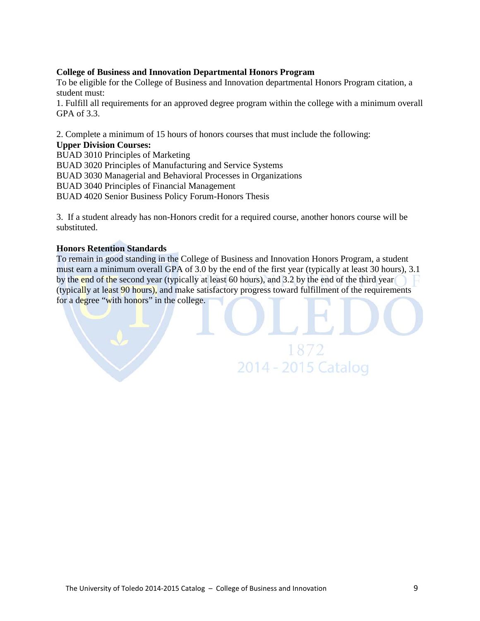### **College of Business and Innovation Departmental Honors Program**

To be eligible for the College of Business and Innovation departmental Honors Program citation, a student must:

1. Fulfill all requirements for an approved degree program within the college with a minimum overall GPA of 3.3.

2. Complete a minimum of 15 hours of honors courses that must include the following:

### **Upper Division Courses:**

BUAD 3010 Principles of Marketing BUAD 3020 Principles of Manufacturing and Service Systems BUAD 3030 Managerial and Behavioral Processes in Organizations BUAD 3040 Principles of Financial Management BUAD 4020 Senior Business Policy Forum-Honors Thesis

3. If a student already has non-Honors credit for a required course, another honors course will be substituted.

### **Honors Retention Standards**

To remain in good standing in the College of Business and Innovation Honors Program, a student must earn a minimum overall GPA of 3.0 by the end of the first year (typically at least 30 hours), 3.1 by the end of the second year (typically at least 60 hours), and 3.2 by the end of the third year (typically at least 90 hours), and make satisfactory progress toward fulfillment of the requirements for a degree "with honors" in the college.

1872

2014 - 2015 Catalog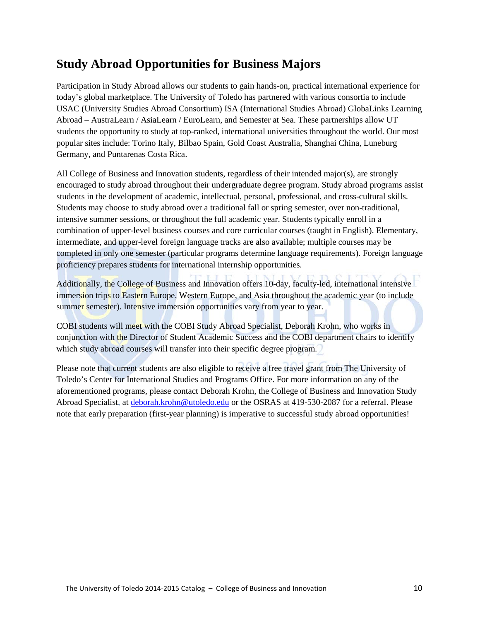# **Study Abroad Opportunities for Business Majors**

Participation in Study Abroad allows our students to gain hands-on, practical international experience for today's global marketplace. The University of Toledo has partnered with various consortia to include USAC (University Studies Abroad Consortium) ISA (International Studies Abroad) GlobaLinks Learning Abroad – AustraLearn / AsiaLearn / EuroLearn, and Semester at Sea. These partnerships allow UT students the opportunity to study at top-ranked, international universities throughout the world. Our most popular sites include: Torino Italy, Bilbao Spain, Gold Coast Australia, Shanghai China, Luneburg Germany, and Puntarenas Costa Rica.

All College of Business and Innovation students, regardless of their intended major(s), are strongly encouraged to study abroad throughout their undergraduate degree program. Study abroad programs assist students in the development of academic, intellectual, personal, professional, and cross-cultural skills. Students may choose to study abroad over a traditional fall or spring semester, over non-traditional, intensive summer sessions, or throughout the full academic year. Students typically enroll in a combination of upper-level business courses and core curricular courses (taught in English). Elementary, intermediate, and upper-level foreign language tracks are also available; multiple courses may be completed in only one semester (particular programs determine language requirements). Foreign language proficiency prepares students for international internship opportunities.

Additionally, the College of Business and Innovation offers 10-day, faculty-led, international intensive immersion trips to Eastern Europe, Western Europe, and Asia throughout the academic year (to include summer semester). Intensive immersion opportunities vary from year to year.

COBI students will meet with the COBI Study Abroad Specialist, Deborah Krohn, who works in conjunction with the Director of Student Academic Success and the COBI department chairs to identify which study abroad courses will transfer into their specific degree program.

Please note that current students are also eligible to receive a free travel grant from The University of Toledo's Center for International Studies and Programs Office. For more information on any of the aforementioned programs, please contact Deborah Krohn, the College of Business and Innovation Study Abroad Specialist, at [deborah.krohn@utoledo.edu](mailto:deborah.krohn@utoledo.edu) or the OSRAS at 419-530-2087 for a referral. Please note that early preparation (first-year planning) is imperative to successful study abroad opportunities!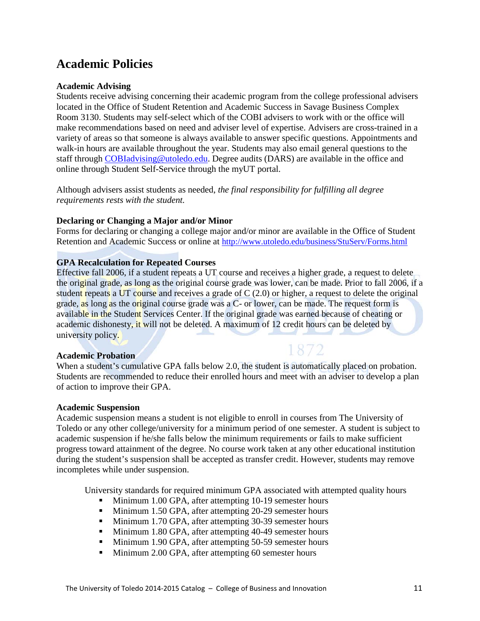# **Academic Policies**

### **Academic Advising**

Students receive advising concerning their academic program from the college professional advisers located in the Office of Student Retention and Academic Success in Savage Business Complex Room 3130. Students may self-select which of the COBI advisers to work with or the office will make recommendations based on need and adviser level of expertise. Advisers are cross-trained in a variety of areas so that someone is always available to answer specific questions. Appointments and walk-in hours are available throughout the year. Students may also email general questions to the staff through [COBIadvising@utoledo.edu.](mailto:COBIadvising@utoledo.edu) Degree audits (DARS) are available in the office and online through Student Self-Service through the myUT portal.

Although advisers assist students as needed, *the final responsibility for fulfilling all degree requirements rests with the student.* 

### **Declaring or Changing a Major and/or Minor**

Forms for declaring or changing a college major and/or minor are available in the Office of Student Retention and Academic Success or online at<http://www.utoledo.edu/business/StuServ/Forms.html>

### **GPA Recalculation for Repeated Courses**

Effective fall 2006, if a student repeats a UT course and receives a higher grade, a request to delete the original grade, as long as the original course grade was lower, can be made. Prior to fall 2006, if a student repeats a UT course and receives a grade of C (2.0) or higher, a request to delete the original grade, as long as the original course grade was a C- or lower, can be made. The request form is available in the Student Services Center. If the original grade was earned because of cheating or academic dishonesty, it will not be deleted. A maximum of 12 credit hours can be deleted by university policy.

### **Academic Probation**

When a student's cumulative GPA falls below 2.0, the student is automatically placed on probation. Students are recommended to reduce their enrolled hours and meet with an adviser to develop a plan of action to improve their GPA.

1872

### **Academic Suspension**

Academic suspension means a student is not eligible to enroll in courses from The University of Toledo or any other college/university for a minimum period of one semester. A student is subject to academic suspension if he/she falls below the minimum requirements or fails to make sufficient progress toward attainment of the degree. No course work taken at any other educational institution during the student's suspension shall be accepted as transfer credit. However, students may remove incompletes while under suspension.

University standards for required minimum GPA associated with attempted quality hours

- **Minimum 1.00 GPA, after attempting 10-19 semester hours**
- Minimum 1.50 GPA, after attempting 20-29 semester hours
- **Minimum 1.70 GPA, after attempting 30-39 semester hours**
- Minimum 1.80 GPA, after attempting 40-49 semester hours
- Minimum 1.90 GPA, after attempting 50-59 semester hours
- **Minimum 2.00 GPA, after attempting 60 semester hours**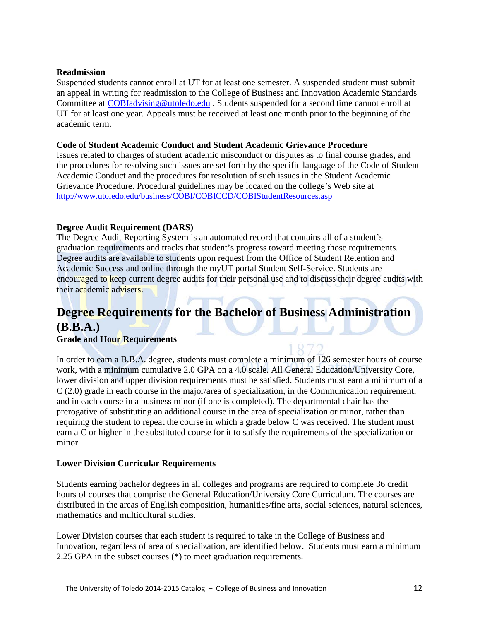### **Readmission**

Suspended students cannot enroll at UT for at least one semester. A suspended student must submit an appeal in writing for readmission to the College of Business and Innovation Academic Standards Committee at [COBIadvising@utoledo.edu](mailto:COBIadvising@utoledo.edu) . Students suspended for a second time cannot enroll at UT for at least one year. Appeals must be received at least one month prior to the beginning of the academic term.

### **Code of Student Academic Conduct and Student Academic Grievance Procedure**

Issues related to charges of student academic misconduct or disputes as to final course grades, and the procedures for resolving such issues are set forth by the specific language of the Code of Student Academic Conduct and the procedures for resolution of such issues in the Student Academic Grievance Procedure. Procedural guidelines may be located on the college's Web site at <http://www.utoledo.edu/business/COBI/COBICCD/COBIStudentResources.asp>

### **Degree Audit Requirement (DARS)**

The Degree Audit Reporting System is an automated record that contains all of a student's graduation requirements and tracks that student's progress toward meeting those requirements. Degree audits are available to students upon request from the Office of Student Retention and Academic Success and online through the myUT portal Student Self-Service. Students are encouraged to keep current degree audits for their personal use and to discuss their degree audits with their academic advisers.

# **Degree Requirements for the Bachelor of Business Administration (B.B.A.)**

### **Grade and Hour Requirements**

In order to earn a B.B.A. degree, students must complete a minimum of 126 semester hours of course work, with a minimum cumulative 2.0 GPA on a 4.0 scale. All General Education/University Core, lower division and upper division requirements must be satisfied. Students must earn a minimum of a C (2.0) grade in each course in the major/area of specialization, in the Communication requirement, and in each course in a business minor (if one is completed). The departmental chair has the prerogative of substituting an additional course in the area of specialization or minor, rather than requiring the student to repeat the course in which a grade below C was received. The student must earn a C or higher in the substituted course for it to satisfy the requirements of the specialization or minor.

### **Lower Division Curricular Requirements**

Students earning bachelor degrees in all colleges and programs are required to complete 36 credit hours of courses that comprise the General Education/University Core Curriculum. The courses are distributed in the areas of English composition, humanities/fine arts, social sciences, natural sciences, mathematics and multicultural studies.

Lower Division courses that each student is required to take in the College of Business and Innovation, regardless of area of specialization, are identified below. Students must earn a minimum 2.25 GPA in the subset courses (\*) to meet graduation requirements.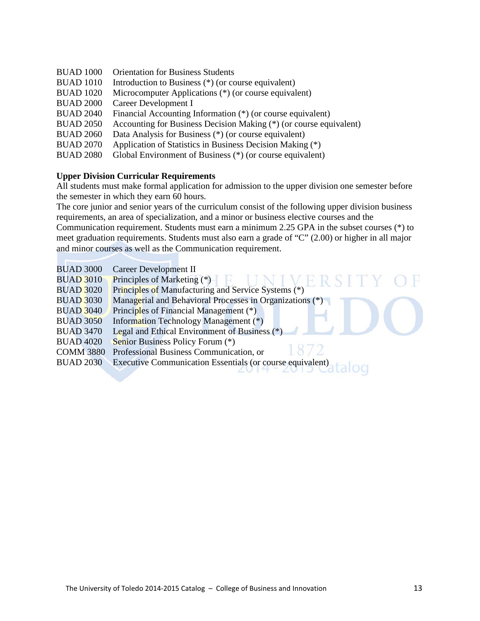- BUAD 1000 Orientation for Business Students
- BUAD 1010 Introduction to Business (\*) (or course equivalent)
- BUAD 1020 Microcomputer Applications (\*) (or course equivalent)
- BUAD 2000 Career Development I<br>BUAD 2040 Financial Accounting I
- Financial Accounting Information  $(*)$  (or course equivalent)
- BUAD 2050 Accounting for Business Decision Making (\*) (or course equivalent)
- BUAD 2060 Data Analysis for Business (\*) (or course equivalent)
- BUAD 2070 Application of Statistics in Business Decision Making (\*)
- BUAD 2080 Global Environment of Business (\*) (or course equivalent)

### **Upper Division Curricular Requirements**

All students must make formal application for admission to the upper division one semester before the semester in which they earn 60 hours.

The core junior and senior years of the curriculum consist of the following upper division business requirements, an area of specialization, and a minor or business elective courses and the

Communication requirement. Students must earn a minimum 2.25 GPA in the subset courses (\*) to meet graduation requirements. Students must also earn a grade of "C" (2.00) or higher in all major and minor courses as well as the Communication requirement.

V F

- BUAD 3000 Career Development II
- BUAD 3010 Principles of Marketing (\*)
- BUAD 3020 Principles of Manufacturing and Service Systems (\*)
- BUAD 3030 Managerial and Behavioral Processes in Organizations (\*)
- BUAD 3040 Principles of Financial Management (\*)
- BUAD 3050 Information Technology Management (\*)
- BUAD 3470 Legal and Ethical Environment of Business (\*)
- BUAD 4020 Senior Business Policy Forum (\*)
- COMM 3880 Professional Business Communication, or
- BUAD 2030 Executive Communication Essentials (or course equivalent)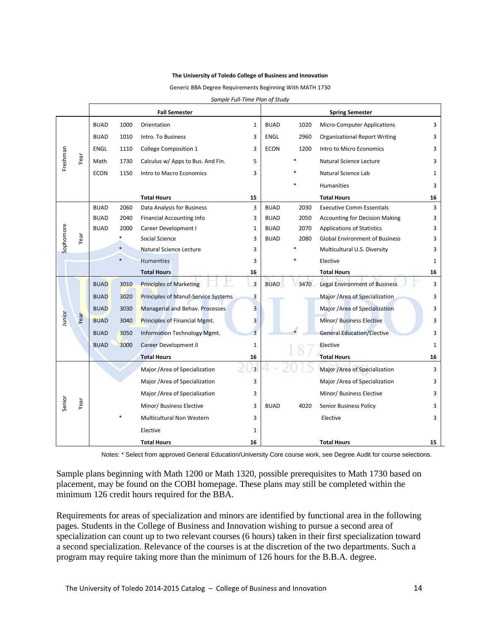#### **The University of Toledo College of Business and Innovation**

Generic BBA Degree Requirements Beginning With MATH 1730

|           |      | <b>Fall Semester</b> |        |                                     |                | <b>Spring Semester</b> |      |                                       |    |
|-----------|------|----------------------|--------|-------------------------------------|----------------|------------------------|------|---------------------------------------|----|
|           |      | <b>BUAD</b>          | 1000   | Orientation                         | 1              | <b>BUAD</b>            | 1020 | <b>Micro-Computer Applications</b>    | 3  |
|           |      | <b>BUAD</b>          | 1010   | Intro. To Business                  | 3              | <b>ENGL</b>            | 2960 | <b>Organizational Report Writing</b>  | 3  |
|           |      | ENGL                 | 1110   | <b>College Composition 1</b>        | 3              | <b>ECON</b>            | 1200 | Intro to Micro Economics              | 3  |
| Freshman  | Year | Math                 | 1730   | Calculus w/ Apps to Bus. And Fin.   | 5              |                        |      | Natural Science Lecture               | 3  |
|           |      | <b>ECON</b>          | 1150   | Intro to Macro Economics            | 3              |                        |      | Natural Science Lab                   | 1  |
|           |      |                      |        |                                     |                |                        |      | <b>Humanities</b>                     | 3  |
|           |      |                      |        | <b>Total Hours</b>                  | 15             |                        |      | <b>Total Hours</b>                    | 16 |
|           |      | <b>BUAD</b>          | 2060   | Data Analysis for Business          | 3              | <b>BUAD</b>            | 2030 | <b>Executive Comm Essentials</b>      | 3  |
|           |      | <b>BUAD</b>          | 2040   | <b>Financial Accounting Info</b>    | 3              | <b>BUAD</b>            | 2050 | <b>Accounting for Decision Making</b> | 3  |
|           |      | <b>BUAD</b>          | 2000   | Career Development I                | 1              | <b>BUAD</b>            | 2070 | <b>Applications of Statistics</b>     | 3  |
| Sophomore | Year |                      | $\ast$ | Social Science                      | 3              | <b>BUAD</b>            | 2080 | <b>Global Environment of Business</b> | 3  |
|           |      |                      | $\ast$ | Natural Science Lecture             | 3              |                        |      | Multicultural U.S. Diversity          | 3  |
|           |      |                      |        | <b>Humanities</b>                   | 3              |                        |      | Elective                              | 1  |
|           |      |                      |        | <b>Total Hours</b>                  | 16             |                        |      | <b>Total Hours</b>                    | 16 |
|           | Year | <b>BUAD</b>          | 3010   | <b>Principles of Marketing</b>      | $\overline{3}$ | <b>BUAD</b>            | 3470 | <b>Legal Environment of Business</b>  | 3  |
|           |      | <b>BUAD</b>          | 3020   | Principles of Manuf-Service Systems | 3              |                        |      | Major /Area of Specialization         | 3  |
|           |      | <b>BUAD</b>          | 3030   | Managerial and Behav. Processes     | 3              |                        |      | Major / Area of Specialization        | 3  |
| Junior    |      | <b>BUAD</b>          | 3040   | Principles of Financial Mgmt.       | 3              |                        |      | Minor/ Business Elective              | 3  |
|           |      | <b>BUAD</b>          | 3050   | Information Technology Mgmt.        | 3              |                        |      | <b>General Education/Elective</b>     | 3  |
|           |      | <b>BUAD</b>          | 3000   | <b>Career Development II</b>        | 1              |                        |      | Elective                              | 1  |
|           |      |                      |        | <b>Total Hours</b>                  | 16             |                        |      | <b>Total Hours</b>                    | 16 |
|           | Year |                      |        | Major /Area of Specialization       | $\overline{3}$ |                        |      | Major /Area of Specialization         | 3  |
| Senior    |      |                      |        | Major /Area of Specialization       | 3              |                        |      | Major /Area of Specialization         | 3  |
|           |      |                      |        | Major /Area of Specialization       | 3              |                        |      | Minor/ Business Elective              | 3  |
|           |      |                      |        | Minor/ Business Elective            | 3              | <b>BUAD</b>            | 4020 | Senior Business Policy                | 3  |
|           |      |                      |        | Multicultural Non Western           | 3              |                        |      | Elective                              | 3  |
|           |      |                      |        | Elective                            | 1              |                        |      |                                       |    |
|           |      |                      |        | <b>Total Hours</b>                  | 16             |                        |      | <b>Total Hours</b>                    | 15 |

*Sample Full-Time Plan of Study*

Notes: \* Select from approved General Education/University Core course work, see Degree Audit for course selections.

Sample plans beginning with Math 1200 or Math 1320, possible prerequisites to Math 1730 based on placement, may be found on the COBI homepage. These plans may still be completed within the minimum 126 credit hours required for the BBA.

Requirements for areas of specialization and minors are identified by functional area in the following pages. Students in the College of Business and Innovation wishing to pursue a second area of specialization can count up to two relevant courses (6 hours) taken in their first specialization toward a second specialization. Relevance of the courses is at the discretion of the two departments. Such a program may require taking more than the minimum of 126 hours for the B.B.A. degree.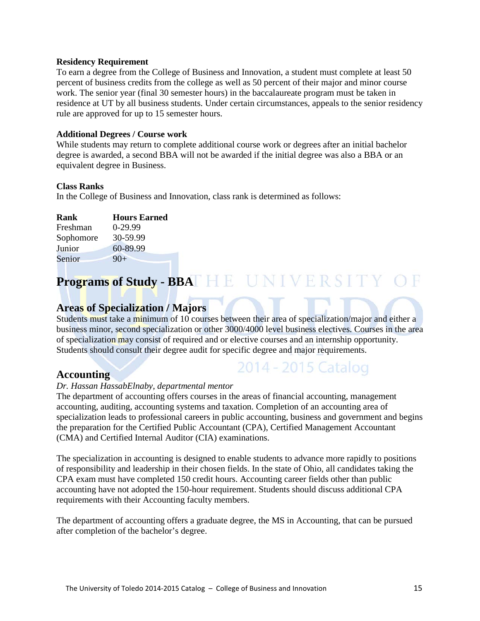#### **Residency Requirement**

To earn a degree from the College of Business and Innovation, a student must complete at least 50 percent of business credits from the college as well as 50 percent of their major and minor course work. The senior year (final 30 semester hours) in the baccalaureate program must be taken in residence at UT by all business students. Under certain circumstances, appeals to the senior residency rule are approved for up to 15 semester hours.

#### **Additional Degrees / Course work**

While students may return to complete additional course work or degrees after an initial bachelor degree is awarded, a second BBA will not be awarded if the initial degree was also a BBA or an equivalent degree in Business.

#### **Class Ranks**

In the College of Business and Innovation, class rank is determined as follows:

| Rank      | <b>Hours Earned</b> |
|-----------|---------------------|
| Freshman  | $0-29.99$           |
| Sophomore | 30-59.99            |
| Junior    | 60-89.99            |
| Senior    | $90+$               |

# **Programs of Study - BBAT HE UNIVERSITY OF**

### **Areas of Specialization / Majors**

Students must take a minimum of 10 courses between their area of specialization/major and either a business minor, second specialization or other 3000/4000 level business electives. Courses in the area of specialization may consist of required and or elective courses and an internship opportunity. Students should consult their degree audit for specific degree and major requirements.

### **Accounting**

# 2014 - 2015 Catalog

### *Dr. Hassan HassabElnaby, departmental mentor*

The department of accounting offers courses in the areas of financial accounting, management accounting, auditing, accounting systems and taxation. Completion of an accounting area of specialization leads to professional careers in public accounting, business and government and begins the preparation for the Certified Public Accountant (CPA), Certified Management Accountant (CMA) and Certified Internal Auditor (CIA) examinations.

The specialization in accounting is designed to enable students to advance more rapidly to positions of responsibility and leadership in their chosen fields. In the state of Ohio, all candidates taking the CPA exam must have completed 150 credit hours. Accounting career fields other than public accounting have not adopted the 150-hour requirement. Students should discuss additional CPA requirements with their Accounting faculty members.

The department of accounting offers a graduate degree, the MS in Accounting, that can be pursued after completion of the bachelor's degree.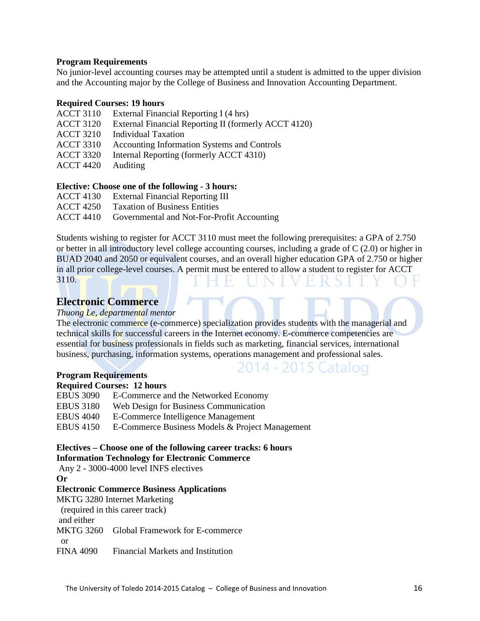### **Program Requirements**

No junior-level accounting courses may be attempted until a student is admitted to the upper division and the Accounting major by the College of Business and Innovation Accounting Department.

### **Required Courses: 19 hours**

- ACCT 3110 External Financial Reporting I (4 hrs)
- ACCT 3120 External Financial Reporting II (formerly ACCT 4120)
- ACCT 3210 Individual Taxation
- ACCT 3310 Accounting Information Systems and Controls
- ACCT 3320 Internal Reporting (formerly ACCT 4310)
- ACCT 4420 Auditing

### **Elective: Choose one of the following - 3 hours:**

- ACCT 4130 External Financial Reporting III
- ACCT 4250 Taxation of Business Entities

ACCT 4410 Governmental and Not-For-Profit Accounting

Students wishing to register for ACCT 3110 must meet the following prerequisites: a GPA of 2.750 or better in all introductory level college accounting courses, including a grade of C (2.0) or higher in BUAD 2040 and 2050 or equivalent courses, and an overall higher education GPA of 2.750 or higher in all prior college-level courses. A permit must be entered to allow a student to register for ACCT 3110.

### **Electronic Commerce**

### *Thuong Le, departmental mentor*

The electronic commerce (e-commerce) specialization provides students with the managerial and technical skills for successful careers in the Internet economy. E-commerce competencies are essential for business professionals in fields such as marketing, financial services, international business, purchasing, information systems, operations management and professional sales.

2014 - 2015 Catalog

### **Program Requirements**

### **Required Courses: 12 hours**

| <b>EBUS 3090</b> | E-Commerce and the Networked Economy            |
|------------------|-------------------------------------------------|
| EBUS 3180        | Web Design for Business Communication           |
| EBUS 4040        | E-Commerce Intelligence Management              |
| EBUS 4150        | E-Commerce Business Models & Project Management |
|                  |                                                 |

### **Electives – Choose one of the following career tracks: 6 hours Information Technology for Electronic Commerce**

Any 2 - 3000-4000 level INFS electives

**Or** 

### **Electronic Commerce Business Applications**

MKTG 3280 Internet Marketing

(required in this career track)

and either

MKTG 3260 Global Framework for E-commerce

or

FINA 4090 Financial Markets and Institution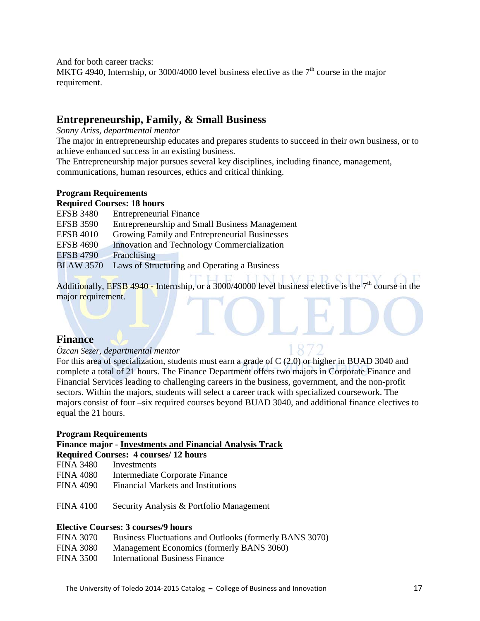And for both career tracks:

MKTG 4940, Internship, or 3000/4000 level business elective as the  $7<sup>th</sup>$  course in the major requirement.

### **Entrepreneurship, Family, & Small Business**

*Sonny Ariss, departmental mentor*

The major in entrepreneurship educates and prepares students to succeed in their own business, or to achieve enhanced success in an existing business.

The Entrepreneurship major pursues several key disciplines, including finance, management, communications, human resources, ethics and critical thinking.

### **Program Requirements**

**Required Courses: 18 hours** 

| <b>EFSB 3480</b> | <b>Entrepreneurial Finance</b>                        |
|------------------|-------------------------------------------------------|
| <b>EFSB 3590</b> | <b>Entrepreneurship and Small Business Management</b> |
| <b>EFSB 4010</b> | Growing Family and Entrepreneurial Businesses         |
| <b>EFSB 4690</b> | Innovation and Technology Commercialization           |
| <b>EFSB 4790</b> | Franchising                                           |
| <b>BLAW 3570</b> | Laws of Structuring and Operating a Business          |
|                  |                                                       |

Additionally, EFSB 4940 - Internship, or a 3000/40000 level business elective is the  $7<sup>th</sup>$  course in the major requirement.

### **Finance**

### *Özcan Sezer, departmental mentor*

For this area of specialization, students must earn a grade of C (2.0) or higher in BUAD 3040 and complete a total of 21 hours. The Finance Department offers two majors in Corporate Finance and Financial Services leading to challenging careers in the business, government, and the non-profit sectors. Within the majors, students will select a career track with specialized coursework. The majors consist of four –six required courses beyond BUAD 3040, and additional finance electives to equal the 21 hours.

### **Program Requirements**

### **Finance major - Investments and Financial Analysis Track**

### **Required Courses: 4 courses/ 12 hours**

FINA 3480 Investments

- FINA 4080 Intermediate Corporate Finance
- FINA 4090 Financial Markets and Institutions
- FINA 4100 Security Analysis & Portfolio Management

### **Elective Courses: 3 courses/9 hours**

- FINA 3080 Management Economics (formerly BANS 3060)
- FINA 3500 International Business Finance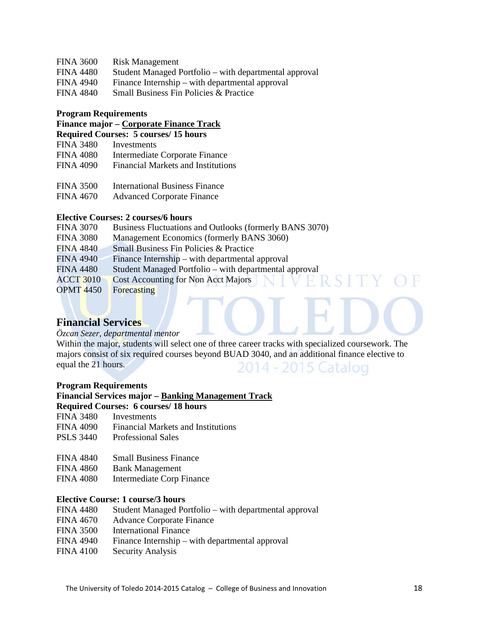### FINA 3600 Risk Management

- FINA 4480 Student Managed Portfolio with departmental approval<br>FINA 4940 Finance Internship with departmental approval
- Finance Internship with departmental approval
- FINA 4840 Small Business Fin Policies & Practice

#### **Program Requirements**

### **Finance major – Corporate Finance Track Required Courses: 5 courses/ 15 hours**

- FINA 3480 Investments
- FINA 4080 Intermediate Corporate Finance FINA 4090 Financial Markets and Institutions
- FINA 3500 International Business Finance
- FINA 4670 Advanced Corporate Finance

### **Elective Courses: 2 courses/6 hours**

| <b>FINA 3070</b> | Business Fluctuations and Outlooks (formerly BANS 3070) |
|------------------|---------------------------------------------------------|
| <b>FINA 3080</b> | Management Economics (formerly BANS 3060)               |
| <b>FINA 4840</b> | Small Business Fin Policies & Practice                  |
| <b>FINA 4940</b> | Finance Internship – with departmental approval         |
| <b>FINA 4480</b> | Student Managed Portfolio – with departmental approval  |
| <b>ACCT 3010</b> | <b>Cost Accounting for Non Acct Majors</b>              |
| <b>OPMT 4450</b> | Forecasting                                             |
|                  |                                                         |

### **Financial Services**

### *Özcan Sezer, departmental mentor*

Within the major, students will select one of three career tracks with specialized coursework. The majors consist of six required courses beyond BUAD 3040, and an additional finance elective to equal the 21 hours. 2014 - 2015 Catalog

#### **Program Requirements**

#### **Financial Services major – Banking Management Track**

### **Required Courses: 6 courses/ 18 hours**

- FINA 3480 Investments
- FINA 4090 Financial Markets and Institutions
- PSLS 3440 Professional Sales
- FINA 4840 Small Business Finance
- FINA 4860 Bank Management
- FINA 4080 Intermediate Corp Finance

### **Elective Course: 1 course/3 hours**

- FINA 4480 Student Managed Portfolio with departmental approval
- FINA 4670 Advance Corporate Finance
- FINA 3500 International Finance
- FINA 4940 Finance Internship with departmental approval
- FINA 4100 Security Analysis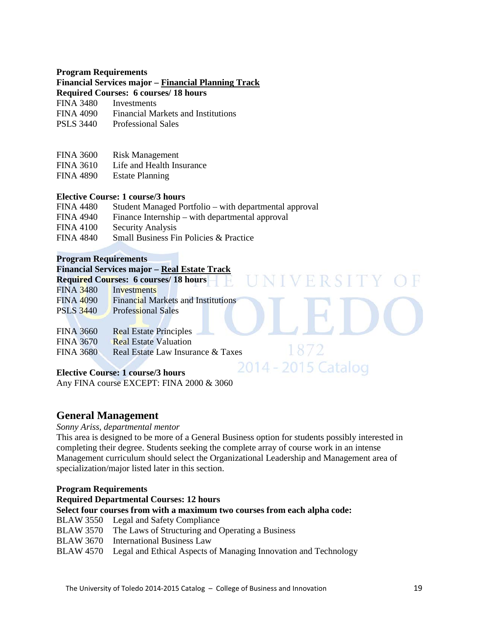### **Program Requirements**

### **Financial Services major – Financial Planning Track**

**Required Courses: 6 courses/ 18 hours** 

- FINA 3480 Investments
- FINA 4090 Financial Markets and Institutions
- PSLS 3440 Professional Sales
- FINA 3600 Risk Management
- FINA 3610 Life and Health Insurance
- FINA 4890 Estate Planning

### **Elective Course: 1 course/3 hours**

| <b>FINA 4480</b> | Student Managed Portfolio – with departmental approval |
|------------------|--------------------------------------------------------|
| <b>FINA 4940</b> | Finance Internship – with departmental approval        |

- FINA 4100 Security Analysis
- FINA 4840 Small Business Fin Policies & Practice

### **Program Requirements**

#### **Financial Services major – Real Estate Track Required Courses: 6 courses/ 18 hours**

| Required Courses: 0 courses/ to hours |                                           |  |  |  |
|---------------------------------------|-------------------------------------------|--|--|--|
| <b>FINA 3480</b>                      | Investments                               |  |  |  |
| <b>FINA 4090</b>                      | <b>Financial Markets and Institutions</b> |  |  |  |
| <b>PSLS 3440</b>                      | <b>Professional Sales</b>                 |  |  |  |
|                                       |                                           |  |  |  |

| <b>FINA 3660</b> | <b>Real Estate Principles</b>     |
|------------------|-----------------------------------|
| <b>FINA 3670</b> | <b>Real Estate Valuation</b>      |
| <b>FINA 3680</b> | Real Estate Law Insurance & Taxes |

### **Elective Course: 1 course/3 hours**

Any FINA course EXCEPT: FINA 2000 & 3060

### **General Management**

### *Sonny Ariss, departmental mentor*

This area is designed to be more of a General Business option for students possibly interested in completing their degree. Students seeking the complete array of course work in an intense Management curriculum should select the Organizational Leadership and Management area of specialization/major listed later in this section.

IVERSIT

1872

2014 - 2015 Catalog

### **Program Requirements**

#### **Required Departmental Courses: 12 hours**

#### **Select four courses from with a maximum two courses from each alpha code:**

- BLAW 3550 Legal and Safety Compliance
- BLAW 3570 The Laws of Structuring and Operating a Business
- BLAW 3670 International Business Law
- BLAW 4570 Legal and Ethical Aspects of Managing Innovation and Technology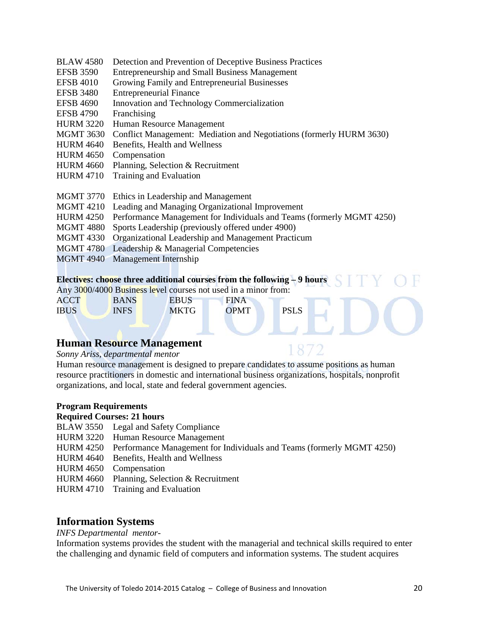- BLAW 4580 Detection and Prevention of Deceptive Business Practices
- EFSB 3590 Entrepreneurship and Small Business Management<br>EFSB 4010 Growing Family and Entrepreneurial Businesses
- Growing Family and Entrepreneurial Businesses
- EFSB 3480 Entrepreneurial Finance
- EFSB 4690 Innovation and Technology Commercialization
- EFSB 4790 Franchising
- HURM 3220 Human Resource Management
- MGMT 3630 Conflict Management: Mediation and Negotiations (formerly HURM 3630)
- HURM 4640 Benefits, Health and Wellness
- HURM 4650 Compensation
- HURM 4660 Planning, Selection & Recruitment
- HURM 4710 Training and Evaluation
- MGMT 3770 Ethics in Leadership and Management
- MGMT 4210 Leading and Managing Organizational Improvement
- HURM 4250 Performance Management for Individuals and Teams (formerly MGMT 4250)
- MGMT 4880 Sports Leadership (previously offered under 4900)
- MGMT 4330 Organizational Leadership and Management Practicum
- MGMT 4780 Leadership & Managerial Competencies
- MGMT 4940 Management Internship

#### **Electives: choose three additional courses from the following – 9 hours**

Any 3000/4000 Business level courses not used in a minor from:

| <b>ACCT</b> | <b>BANS</b> | <b>EBUS</b> | <b>FINA</b> |             |
|-------------|-------------|-------------|-------------|-------------|
| <b>IBUS</b> | <b>INFS</b> | <b>MKTG</b> | <b>OPMT</b> | <b>PSLS</b> |

### **Human Resource Management**

#### *Sonny Ariss, departmental mentor*

Human resource management is designed to prepare candidates to assume positions as human resource practitioners in domestic and international business organizations, hospitals, nonprofit organizations, and local, state and federal government agencies.

#### **Program Requirements**

#### **Required Courses: 21 hours**

- BLAW 3550 Legal and Safety Compliance
- HURM 3220 Human Resource Management
- HURM 4250 Performance Management for Individuals and Teams (formerly MGMT 4250)
- HURM 4640 Benefits, Health and Wellness
- HURM 4650 Compensation
- HURM 4660 Planning, Selection & Recruitment
- HURM 4710 Training and Evaluation

### **Information Systems**

### *INFS Departmental mentor-*

Information systems provides the student with the managerial and technical skills required to enter the challenging and dynamic field of computers and information systems. The student acquires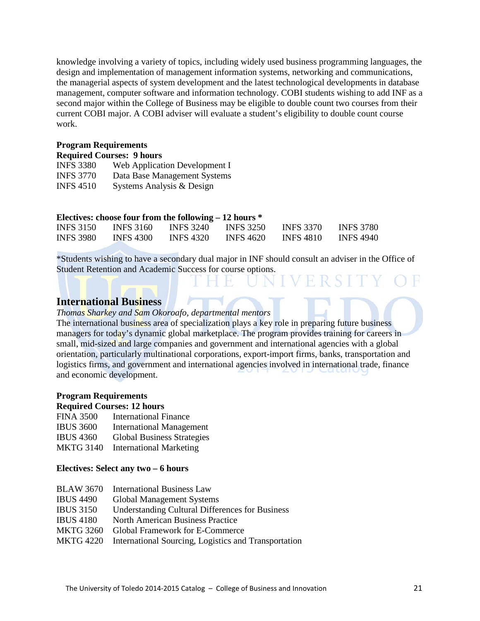knowledge involving a variety of topics, including widely used business programming languages, the design and implementation of management information systems, networking and communications, the managerial aspects of system development and the latest technological developments in database management, computer software and information technology. COBI students wishing to add INF as a second major within the College of Business may be eligible to double count two courses from their current COBI major. A COBI adviser will evaluate a student's eligibility to double count course work.

#### **Program Requirements**

| <b>Required Courses: 9 hours</b> |  |  |
|----------------------------------|--|--|
|----------------------------------|--|--|

| <b>INFS 3380</b> | Web Application Development I |
|------------------|-------------------------------|
| <b>INFS 3770</b> | Data Base Management Systems  |
| <b>INFS 4510</b> | Systems Analysis & Design     |

| Electives: choose four from the following $-12$ hours $*$ |                  |                  |                  |                  |                  |
|-----------------------------------------------------------|------------------|------------------|------------------|------------------|------------------|
| <b>INFS</b> 3150                                          | <b>INFS</b> 3160 | INFS 3240        | <b>INFS 3250</b> | <b>INFS 3370</b> | <b>INFS 3780</b> |
| <b>INFS 3980</b>                                          | <b>INFS 4300</b> | <b>INFS 4320</b> | <b>INFS 4620</b> | INFS 4810        | <b>INFS 4940</b> |

\*Students wishing to have a secondary dual major in INF should consult an adviser in the Office of Student Retention and Academic Success for course options.

FRST

### **International Business**

### *Thomas Sharkey and Sam Okoroafo, departmental mentors*

The international business area of specialization plays a key role in preparing future business managers for today's dynamic global marketplace. The program provides training for careers in small, mid-sized and large companies and government and international agencies with a global orientation, particularly multinational corporations, export-import firms, banks, transportation and logistics firms, and government and international agencies involved in international trade, finance and economic development.

#### **Program Requirements**

### **Required Courses: 12 hours**

- FINA 3500 International Finance
- IBUS 3600 International Management
- IBUS 4360 Global Business Strategies
- MKTG 3140 International Marketing

### **Electives: Select any two – 6 hours**

| <b>BLAW 3670</b> | <b>International Business Law</b>                              |
|------------------|----------------------------------------------------------------|
| <b>IBUS 4490</b> | <b>Global Management Systems</b>                               |
| <b>IBUS 3150</b> | Understanding Cultural Differences for Business                |
| <b>IBUS</b> 4180 | <b>North American Business Practice</b>                        |
| <b>MKTG 3260</b> | Global Framework for E-Commerce                                |
|                  | MKTG 4220 International Sourcing, Logistics and Transportation |
|                  |                                                                |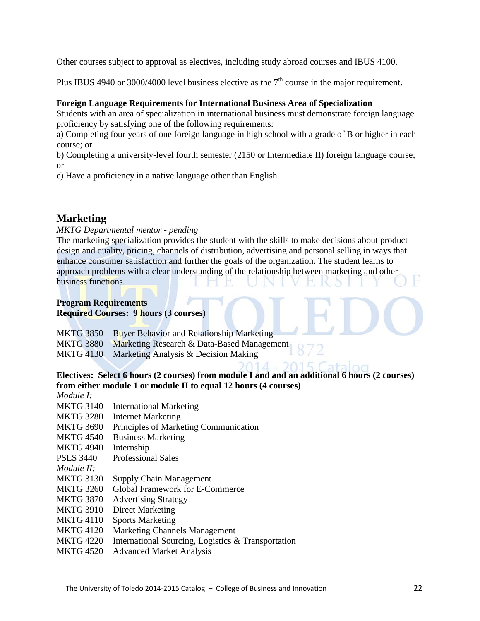Other courses subject to approval as electives, including study abroad courses and IBUS 4100.

Plus IBUS 4940 or 3000/4000 level business elective as the  $7<sup>th</sup>$  course in the major requirement.

### **Foreign Language Requirements for International Business Area of Specialization**

Students with an area of specialization in international business must demonstrate foreign language proficiency by satisfying one of the following requirements:

a) Completing four years of one foreign language in high school with a grade of B or higher in each course; or

b) Completing a university-level fourth semester (2150 or Intermediate II) foreign language course; or

c) Have a proficiency in a native language other than English.

### **Marketing**

*MKTG Departmental mentor - pending*

The marketing specialization provides the student with the skills to make decisions about product design and quality, pricing, channels of distribution, advertising and personal selling in ways that enhance consumer satisfaction and further the goals of the organization. The student learns to approach problems with a clear understanding of the relationship between marketing and other business functions.

#### **Program Requirements Required Courses: 9 hours (3 courses)**

MKTG 3850 Buyer Behavior and Relationship Marketing MKTG 3880 Marketing Research & Data-Based Management MKTG 4130 Marketing Analysis & Decision Making

### **Electives: Select 6 hours (2 courses) from module I and and an additional 6 hours (2 courses) from either module 1 or module II to equal 12 hours (4 courses)**

*Module I:* 

- MKTG 3140 International Marketing
- MKTG 3280 Internet Marketing
- MKTG 3690 Principles of Marketing Communication
- MKTG 4540 Business Marketing
- MKTG 4940 Internship
- PSLS 3440 Professional Sales
- *Module II:*
- MKTG 3130 Supply Chain Management
- MKTG 3260 Global Framework for E-Commerce
- MKTG 3870 Advertising Strategy
- MKTG 3910 Direct Marketing
- MKTG 4110 Sports Marketing
- MKTG 4120 Marketing Channels Management
- MKTG 4220 International Sourcing, Logistics & Transportation
- MKTG 4520 Advanced Market Analysis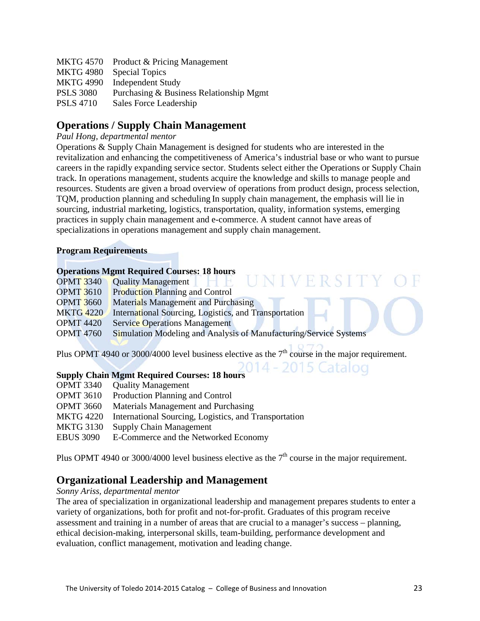| <b>MKTG 4570</b> | Product & Pricing Management            |
|------------------|-----------------------------------------|
| <b>MKTG 4980</b> | <b>Special Topics</b>                   |
| <b>MKTG 4990</b> | <b>Independent Study</b>                |
| <b>PSLS 3080</b> | Purchasing & Business Relationship Mgmt |
| <b>PSLS 4710</b> | Sales Force Leadership                  |

### **Operations / Supply Chain Management**

### *Paul Hong, departmental mentor*

Operations & Supply Chain Management is designed for students who are interested in the revitalization and enhancing the competitiveness of America's industrial base or who want to pursue careers in the rapidly expanding service sector. Students select either the Operations or Supply Chain track. In operations management, students acquire the knowledge and skills to manage people and resources. Students are given a broad overview of operations from product design, process selection, TQM, production planning and scheduling In supply chain management, the emphasis will lie in sourcing, industrial marketing, logistics, transportation, quality, information systems, emerging practices in supply chain management and e-commerce. A student cannot have areas of specializations in operations management and supply chain management.

NIVERSIT

- 2015 Catalog

### **Program Requirements**

### **Operations Mgmt Required Courses: 18 hours**

- OPMT 3340 Quality Management
- OPMT 3610 Production Planning and Control
- OPMT 3660 Materials Management and Purchasing
- MKTG 4220 International Sourcing, Logistics, and Transportation
- **OPMT** 4420 Service Operations Management
- OPMT 4760 Simulation Modeling and Analysis of Manufacturing/Service Systems

Plus OPMT 4940 or 3000/4000 level business elective as the  $7<sup>th</sup>$  course in the major requirement.

### **Supply Chain Mgmt Required Courses: 18 hours**

- OPMT 3340 Quality Management
- OPMT 3610 Production Planning and Control
- OPMT 3660 Materials Management and Purchasing
- MKTG 4220 International Sourcing, Logistics, and Transportation
- MKTG 3130 Supply Chain Management
- EBUS 3090 E-Commerce and the Networked Economy

Plus OPMT 4940 or 3000/4000 level business elective as the  $7<sup>th</sup>$  course in the major requirement.

### **Organizational Leadership and Management**

### *Sonny Ariss, departmental mentor*

The area of specialization in organizational leadership and management prepares students to enter a variety of organizations, both for profit and not-for-profit. Graduates of this program receive assessment and training in a number of areas that are crucial to a manager's success – planning, ethical decision-making, interpersonal skills, team-building, performance development and evaluation, conflict management, motivation and leading change.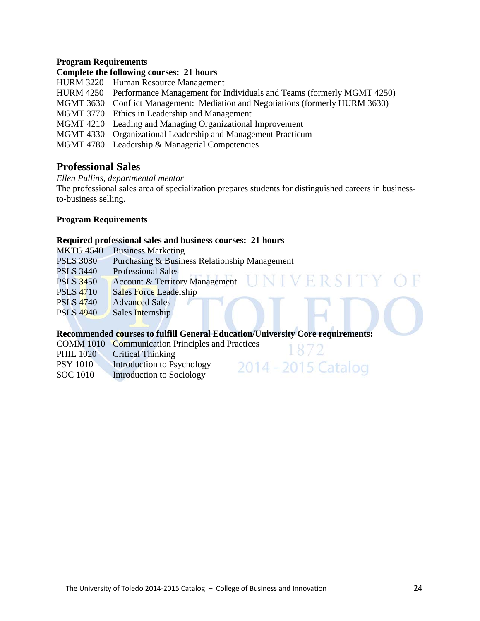### **Program Requirements**

### **Complete the following courses: 21 hours**

- HURM 3220 Human Resource Management
- HURM 4250 Performance Management for Individuals and Teams (formerly MGMT 4250)
- MGMT 3630 Conflict Management: Mediation and Negotiations (formerly HURM 3630)
- MGMT 3770 Ethics in Leadership and Management
- MGMT 4210 Leading and Managing Organizational Improvement
- MGMT 4330 Organizational Leadership and Management Practicum
- MGMT 4780 Leadership & Managerial Competencies

### **Professional Sales**

*Ellen Pullins, departmental mentor*

The professional sales area of specialization prepares students for distinguished careers in businessto-business selling.

### **Program Requirements**

### **Required professional sales and business courses: 21 hours**

| <b>MKTG 4540</b> | <b>Business Marketing</b>                               |
|------------------|---------------------------------------------------------|
| <b>PSLS 3080</b> | Purchasing & Business Relationship Management           |
| <b>PSLS 3440</b> | <b>Professional Sales</b>                               |
| <b>PSLS 3450</b> | UNIVERSI 1<br><b>Account &amp; Territory Management</b> |
| <b>PSLS 4710</b> | Sales Force Leadership                                  |
| <b>PSLS 4740</b> | <b>Advanced Sales</b>                                   |
| <b>PSLS 4940</b> | Sales Internship                                        |
|                  |                                                         |

### **Recommended courses to fulfill General Education/University Core requirements:**

872

2014 - 2015 Catalog

COMM 1010 Communication Principles and Practices

- PHIL 1020 Critical Thinking
- PSY 1010 Introduction to Psychology
- SOC 1010 Introduction to Sociology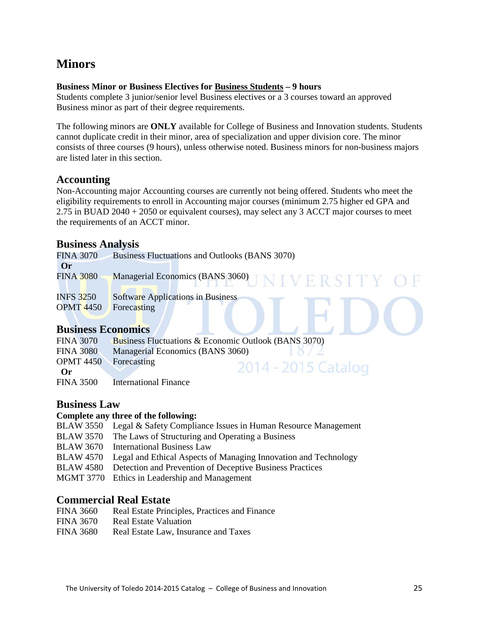# **Minors**

### **Business Minor or Business Electives for Business Students – 9 hours**

Students complete 3 junior/senior level Business electives or a 3 courses toward an approved Business minor as part of their degree requirements.

The following minors are **ONLY** available for College of Business and Innovation students. Students cannot duplicate credit in their minor, area of specialization and upper division core. The minor consists of three courses (9 hours), unless otherwise noted. Business minors for non-business majors are listed later in this section.

### **Accounting**

Non-Accounting major Accounting courses are currently not being offered. Students who meet the eligibility requirements to enroll in Accounting major courses (minimum 2.75 higher ed GPA and 2.75 in BUAD 2040 + 2050 or equivalent courses), may select any 3 ACCT major courses to meet the requirements of an ACCT minor.

### **Business Analysis**

| <b>FINA 3070</b>          | Business Fluctuations and Outlooks (BANS 3070) |
|---------------------------|------------------------------------------------|
| Or                        |                                                |
| <b>FINA 3080</b>          | Managerial Economics (BANS 3060) JNIVERSITY OF |
|                           |                                                |
| <b>INFS 3250</b>          | Software Applications in Business              |
| <b>OPMT 4450</b>          | Forecasting                                    |
|                           |                                                |
| <b>Business Economics</b> |                                                |

### **Business Economics**

| <b>FINA 3070</b>             | <b>Business Fluctuations &amp; Economic Outlook (BANS 3070)</b> |                     |
|------------------------------|-----------------------------------------------------------------|---------------------|
| <b>FINA 3080</b>             | Managerial Economics (BANS 3060)                                | 10/2                |
| <b>OPMT</b> 4450 Forecasting |                                                                 |                     |
| $\Omega$ r                   |                                                                 | 2014 - 2015 Cataloc |
| <b>FINA 3500</b>             | <b>International Finance</b>                                    |                     |

### **Business Law**

### **Complete any three of the following:**

- BLAW 3550 Legal & Safety Compliance Issues in Human Resource Management
- BLAW 3570 The Laws of Structuring and Operating a Business
- BLAW 3670 International Business Law
- BLAW 4570 Legal and Ethical Aspects of Managing Innovation and Technology
- BLAW 4580 Detection and Prevention of Deceptive Business Practices
- MGMT 3770 Ethics in Leadership and Management

### **Commercial Real Estate**

- FINA 3660 Real Estate Principles, Practices and Finance
- FINA 3670 Real Estate Valuation
- FINA 3680 Real Estate Law, Insurance and Taxes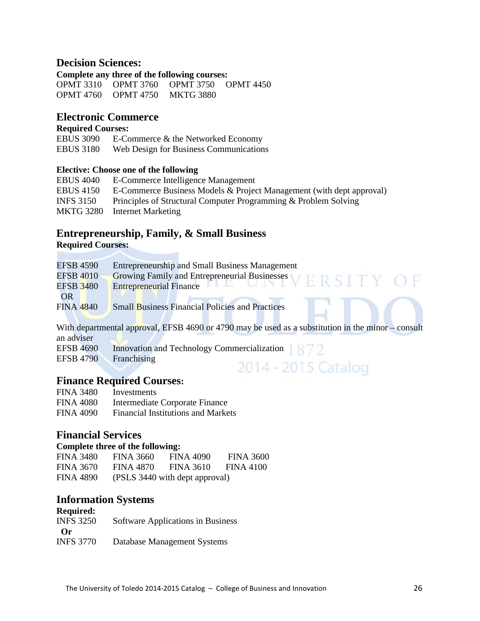### **Decision Sciences:**

**Complete any three of the following courses:**  OPMT 3310 OPMT 3760 OPMT 3750 OPMT 4450 OPMT 4760 OPMT 4750 MKTG 3880

### **Electronic Commerce**

### **Required Courses:**

| <b>EBUS 3090</b> | E-Commerce & the Networked Economy     |
|------------------|----------------------------------------|
| <b>EBUS 3180</b> | Web Design for Business Communications |

### **Elective: Choose one of the following**

| <b>EBUS 4040</b> | E-Commerce Intelligence Management                                   |
|------------------|----------------------------------------------------------------------|
| <b>EBUS 4150</b> | E-Commerce Business Models & Project Management (with dept approval) |
| <b>INFS 3150</b> | Principles of Structural Computer Programming & Problem Solving      |
| MKTG 3280        | Internet Marketing                                                   |
|                  |                                                                      |

### **Entrepreneurship, Family, & Small Business**

Ħ

**Required Courses:** 

| <b>EFSB 4590</b> | <b>Entrepreneurship and Small Business Management</b>      |
|------------------|------------------------------------------------------------|
| <b>EFSB 4010</b> | Growing Family and Entrepreneurial Businesses<br>ERSITY OF |
| EFSB 3480        |                                                            |
| OR               |                                                            |
| <b>FINA 4840</b> | <b>Small Business Financial Policies and Practices</b>     |

With departmental approval, EFSB 4690 or 4790 may be used as a substitution in the minor – consult an adviser EFSB 4690 Innovation and Technology Commercialization 1872

2014 - 2015 Catalog

EFSB 4790 Franchising

### **Finance Required Courses:**

| <b>FINA 3480</b> | Investments                               |
|------------------|-------------------------------------------|
| FINA 4080        | Intermediate Corporate Finance            |
| <b>FINA 4090</b> | <b>Financial Institutions and Markets</b> |

### **Financial Services**

### **Complete three of the following:**

| FINA 3480        | FINA 3660 | FINA 4090                      | FINA 3600 |
|------------------|-----------|--------------------------------|-----------|
| FINA 3670        | FINA 4870 | <b>FINA 3610</b>               | FINA 4100 |
| <b>FINA 4890</b> |           | (PSLS 3440 with dept approval) |           |

### **Information Systems**

| <b>Required:</b> |                                   |
|------------------|-----------------------------------|
| <b>INFS 3250</b> | Software Applications in Business |
| $\Omega$ r       |                                   |
| <b>INFS 3770</b> | Database Management Systems       |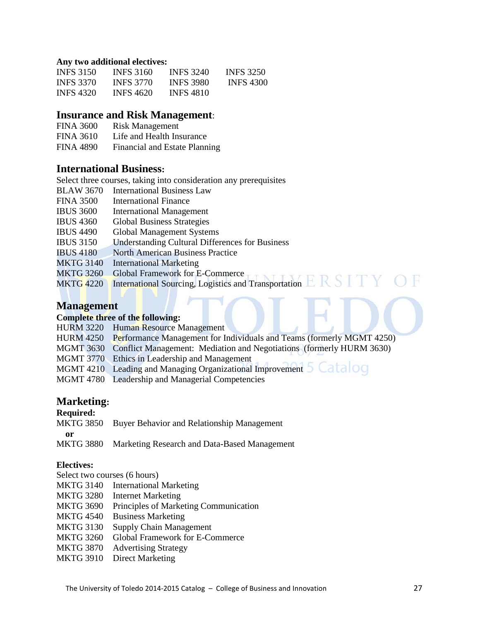#### **Any two additional electives:**

| <b>INFS</b> 3150 | <b>INFS</b> 3160 | <b>INFS 3240</b> | <b>INFS 3250</b> |
|------------------|------------------|------------------|------------------|
| <b>INFS 3370</b> | <b>INES 3770</b> | <b>INES 3980</b> | <b>INFS 4300</b> |
| <b>INFS 4320</b> | <b>INFS 4620</b> | <b>INFS 4810</b> |                  |

### **Insurance and Risk Management**:

| <b>FINA 3600</b> | <b>Risk Management</b>        |
|------------------|-------------------------------|
| <b>FINA 3610</b> | Life and Health Insurance     |
| <b>FINA 4890</b> | Financial and Estate Planning |

### **International Business:**

Select three courses, taking into consideration any prerequisites BLAW 3670 International Business Law FINA 3500 International Finance IBUS 3600 International Management IBUS 4360 Global Business Strategies IBUS 4490 Global Management Systems IBUS 3150 Understanding Cultural Differences for Business IBUS 4180 North American Business Practice

- 
- MKTG 3140 International Marketing<br>MKTG 3260 Global Framework for E-Commerce MKTG 3260 Global Framework for E-Commerce
- MKTG 4220 International Sourcing, Logistics and Transportation

### **Management**

#### **Complete three of the following:**

- HURM 3220 Human Resource Management
- HURM 4250 Performance Management for Individuals and Teams (formerly MGMT 4250)
- MGMT 3630 Conflict Management: Mediation and Negotiations (formerly HURM 3630)
- MGMT 3770 Ethics in Leadership and Management
- MGMT 4210 Leading and Managing Organizational Improvement 5 Catalog
- MGMT 4780 Leadership and Managerial Competencies

### **Marketing:**

### **Required:**

|           | MKTG 3850 Buyer Behavior and Relationship Management |
|-----------|------------------------------------------------------|
| or        |                                                      |
| MKTG 3880 | Marketing Research and Data-Based Management         |

### **Electives:**

Select two courses (6 hours)

- MKTG 3140 International Marketing
- MKTG 3280 Internet Marketing
- MKTG 3690 Principles of Marketing Communication
- MKTG 4540 Business Marketing
- MKTG 3130 Supply Chain Management
- MKTG 3260 Global Framework for E-Commerce
- MKTG 3870 Advertising Strategy
- MKTG 3910 Direct Marketing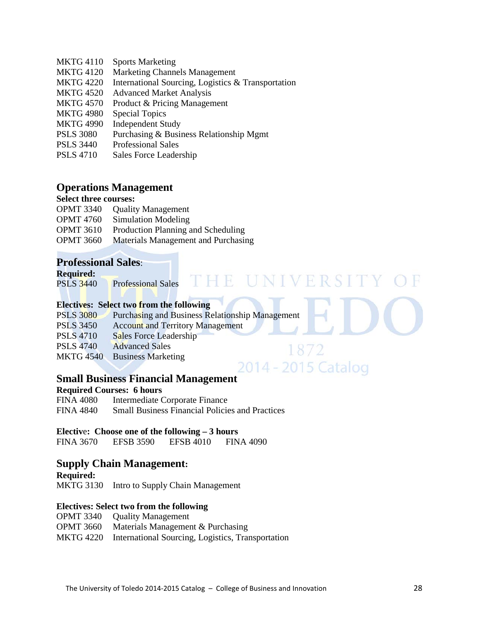- MKTG 4110 Sports Marketing
- MKTG 4120 Marketing Channels Management
- MKTG 4220 International Sourcing, Logistics & Transportation
- MKTG 4520 Advanced Market Analysis
- MKTG 4570 Product & Pricing Management
- MKTG 4980 Special Topics
- MKTG 4990 Independent Study
- PSLS 3080 Purchasing & Business Relationship Mgmt
- PSLS 3440 Professional Sales
- PSLS 4710 Sales Force Leadership

### **Operations Management**

### **Select three courses:**

- OPMT 3340 Quality Management
- OPMT 4760 Simulation Modeling
- OPMT 3610 Production Planning and Scheduling
- OPMT 3660 Materials Management and Purchasing

### **Professional Sales**:

#### **Required:**

PSLS 3440 Professional Sales

### **Electives: Select two from the following**

| <b>PSLS 3080</b> | <b>Purchasing and Business Relationship Management</b> |  |
|------------------|--------------------------------------------------------|--|
| <b>PSLS 3450</b> | <b>Account and Territory Management</b>                |  |
| <b>PSLS 4710</b> | Sales Force Leadership                                 |  |
| <b>PSLS 4740</b> | <b>Advanced Sales</b>                                  |  |
| <b>MKTG 4540</b> | <b>Business Marketing</b>                              |  |

THE UNIVERSITY

2014 - 2015 Catalog

### **Small Business Financial Management**

#### **Required Courses: 6 hours**

FINA 4080 Intermediate Corporate Finance FINA 4840 Small Business Financial Policies and Practices

#### **Electiv**e**: Choose one of the following – 3 hours**

FINA 3670 EFSB 3590 EFSB 4010 FINA 4090

### **Supply Chain Management:**

**Required:** 

MKTG 3130 Intro to Supply Chain Management

### **Electives: Select two from the following**

- OPMT 3340 Quality Management
- OPMT 3660 Materials Management & Purchasing

MKTG 4220 International Sourcing, Logistics, Transportation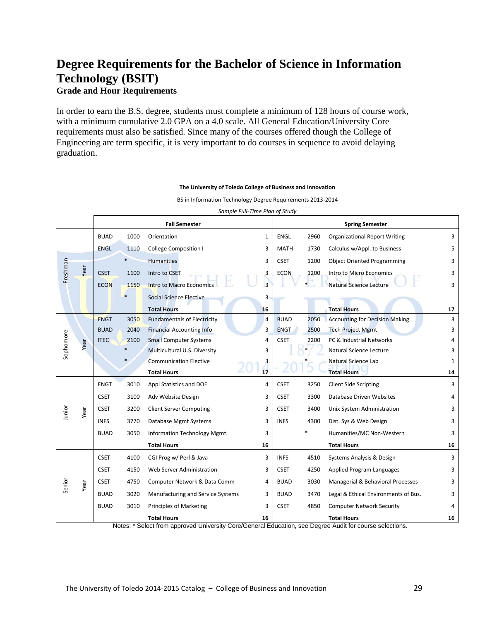# **Degree Requirements for the [Bachelor of Science in Information](http://www.utoledo.edu/business/academic_programs/bsit.html)  [Technology \(BSIT\)](http://www.utoledo.edu/business/academic_programs/bsit.html)**

**Grade and Hour Requirements** 

In order to earn the B.S. degree, students must complete a minimum of 128 hours of course work, with a minimum cumulative 2.0 GPA on a 4.0 scale. All General Education/University Core requirements must also be satisfied. Since many of the courses offered though the College of Engineering are term specific, it is very important to do courses in sequence to avoid delaying graduation.

#### *Sample Full-Time Plan of Study* **Fall Semester Spring Semester** BUAD 1000 Orientation 1 | ENGL 2960 Organizational Report Writing 3 ENGL 1110 College Composition I 3 MATH 1730 Calculus w/Appl. to Business 5 Humanities **3** CSET 1200 Object Oriented Programming 3 Freshman Freshman Year CSET 1100 Intro to CSET 3 ECON 1200 Intro to Micro Economics 3 ECON 1150 Intro to Macro Economics 3 \* Natural Science Lecture 3 **Social Science Elective 3** 3 **Total Hours 16 Total Hours 17** ENGT  $3050$  Fundamentals of Electricity  $4 \mid BUAD$  2050 Accounting for Decision Making 3 BUAD 2040 Financial Accounting Info 3 ENGT 2500 Tech Project Mgmt 3 Sophomore sophomore ITEC 2100 Small Computer Systems  $4 \mid \text{CSET}$  2200 PC & Industrial Networks  $4 \mid \text{CSET}$  2200 PC & Industrial Networks Year \* Multicultural U.S. Diversity 3 \* Natural Science Lecture 3 **Communication Elective 3** 3 **3 1 Natural Science Lab** 1 **Total Hours 17 Total Hours 14** ENGT 3010 Appl Statistics and DOE 4 CSET 3250 Client Side Scripting 3 3 CSET 3100 Adv Website Design 3 3 CSET 3300 Database Driven Websites 4 Junior CSET 3200 Client Server Computing 3 3 CSET 3400 Unix System Administration 3 3 Year INFS 3770 Database Mgmt Systems 3 | INFS 4300 Dist. Sys & Web Design 3 3 BUAD 3050 Information Technology Mgmt. 3 3 \* Humanities/MC Non-Western 3 3 **Total Hours 16 Total Hours 16** CSET 4100 CGI Prog w/ Perl & Java 3 3 | INFS 4510 Systems Analysis & Design 3 3 CSET 4150 Web Server Administration 3 | CSET 4250 Applied Program Languages 3 3 Senior CSET 4750 Computer Network & Data Comm 4 BUAD 3030 Managerial & Behavioral Processes 3 Year BUAD 3020 Manufacturing and Service Systems 3 | BUAD 3470 Legal & Ethical Environments of Bus. 3 BUAD 3010 Principles of Marketing 3 | CSET 4850 Computer Network Security 4 **Total Hours 16 Total Hours 16**

**The University of Toledo College of Business and Innovation**

BS in Information Technology Degree Requirements 2013-2014

Notes: \* Select from approved University Core/General Education, see Degree Audit for course selections.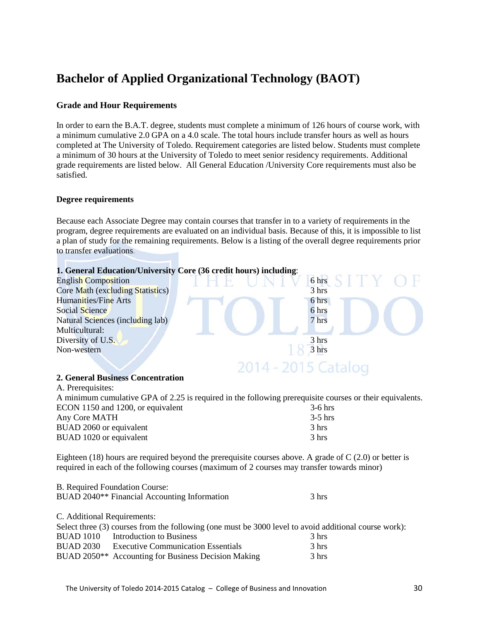# **Bachelor of Applied Organizational Technology (BAOT)**

### **Grade and Hour Requirements**

In order to earn the B.A.T. degree, students must complete a minimum of 126 hours of course work, with a minimum cumulative 2.0 GPA on a 4.0 scale. The total hours include transfer hours as well as hours completed at The University of Toledo. Requirement categories are listed below. Students must complete a minimum of 30 hours at the University of Toledo to meet senior residency requirements. Additional grade requirements are listed below. All General Education /University Core requirements must also be satisfied.

#### **Degree requirements**

Because each Associate Degree may contain courses that transfer in to a variety of requirements in the program, degree requirements are evaluated on an individual basis. Because of this, it is impossible to list a plan of study for the remaining requirements. Below is a listing of the overall degree requirements prior to transfer evaluations.



#### **2. General Business Concentration**

| A minimum cumulative GPA of 2.25 is required in the following prerequisite courses or their equivalents. |
|----------------------------------------------------------------------------------------------------------|
| $3-6$ hrs                                                                                                |
| $-3-5$ hrs                                                                                               |
| 3 hrs                                                                                                    |
| 3 hrs                                                                                                    |
|                                                                                                          |

Eighteen (18) hours are required beyond the prerequisite courses above. A grade of  $C(2.0)$  or better is required in each of the following courses (maximum of 2 courses may transfer towards minor)

|                             | B. Required Foundation Course:                                                                        |       |
|-----------------------------|-------------------------------------------------------------------------------------------------------|-------|
|                             | BUAD 2040 <sup>**</sup> Financial Accounting Information                                              | 3 hrs |
|                             |                                                                                                       |       |
| C. Additional Requirements: |                                                                                                       |       |
|                             | Select three (3) courses from the following (one must be 3000 level to avoid additional course work): |       |
|                             | BUAD 1010 Introduction to Business                                                                    | 3 hrs |
| <b>BUAD 2030</b>            | <b>Executive Communication Essentials</b>                                                             | 3 hrs |
|                             | BUAD 2050 <sup>**</sup> Accounting for Business Decision Making                                       | 3 hrs |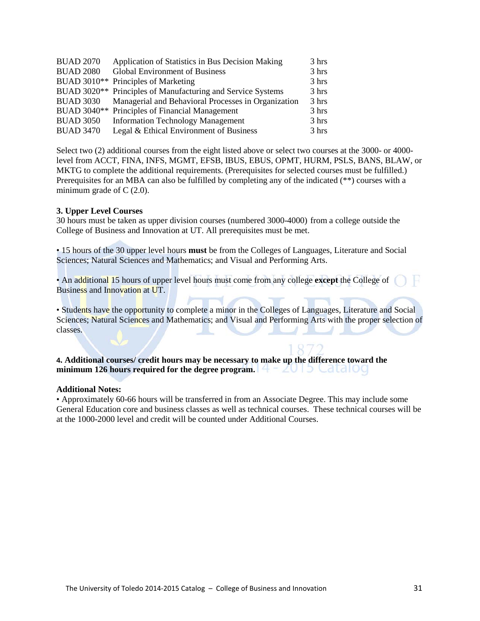| <b>BUAD 2070</b> | Application of Statistics in Bus Decision Making                        | 3 hrs |
|------------------|-------------------------------------------------------------------------|-------|
| <b>BUAD 2080</b> | Global Environment of Business                                          | 3 hrs |
|                  | BUAD 3010** Principles of Marketing                                     | 3 hrs |
|                  | BUAD 3020 <sup>**</sup> Principles of Manufacturing and Service Systems | 3 hrs |
|                  | BUAD 3030 Managerial and Behavioral Processes in Organization           | 3 hrs |
|                  | BUAD 3040** Principles of Financial Management                          | 3 hrs |
| <b>BUAD 3050</b> | <b>Information Technology Management</b>                                | 3 hrs |
| <b>BUAD 3470</b> | Legal & Ethical Environment of Business                                 | 3 hrs |

Select two (2) additional courses from the eight listed above or select two courses at the 3000- or 4000 level from ACCT, FINA, INFS, MGMT, EFSB, IBUS, EBUS, OPMT, HURM, PSLS, BANS, BLAW, or MKTG to complete the additional requirements. (Prerequisites for selected courses must be fulfilled.) Prerequisites for an MBA can also be fulfilled by completing any of the indicated (\*\*) courses with a minimum grade of C  $(2.0)$ .

#### **3. Upper Level Courses**

30 hours must be taken as upper division courses (numbered 3000-4000) from a college outside the College of Business and Innovation at UT. All prerequisites must be met.

• 15 hours of the 30 upper level hours **must** be from the Colleges of Languages, Literature and Social Sciences; Natural Sciences and Mathematics; and Visual and Performing Arts.

• An additional 15 hours of upper level hours must come from any college **except** the College of Business and Innovation at UT.

• Students have the opportunity to complete a minor in the Colleges of Languages, Literature and Social Sciences; Natural Sciences and Mathematics; and Visual and Performing Arts with the proper selection of classes.

### **4. Additional courses/ credit hours may be necessary to make up the difference toward the minimum 126 hours required for the degree program.**

#### **Additional Notes:**

• Approximately 60-66 hours will be transferred in from an Associate Degree. This may include some General Education core and business classes as well as technical courses. These technical courses will be at the 1000-2000 level and credit will be counted under Additional Courses.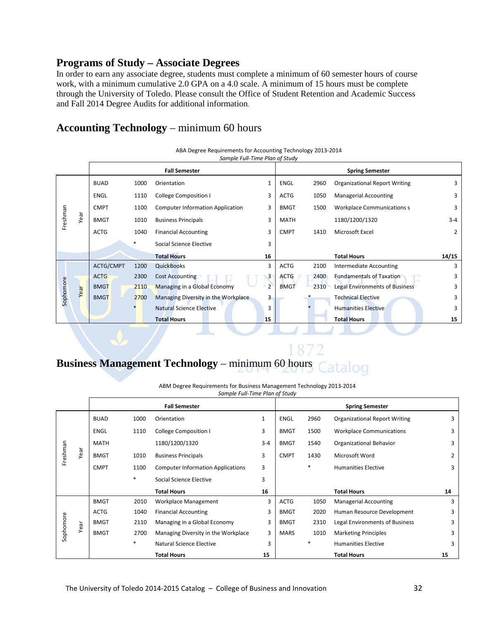### **Programs of Study – Associate Degrees**

In order to earn any associate degree, students must complete a minimum of 60 semester hours of course work, with a minimum cumulative 2.0 GPA on a 4.0 scale. A minimum of 15 hours must be complete through the University of Toledo. Please consult the Office of Student Retention and Academic Success and Fall 2014 Degree Audits for additional information.

### **Accounting Technology** – minimum 60 hours

|           | Sample Full-Time Plan of Study |             |                         |                                         |                |             |      |                                      |         |
|-----------|--------------------------------|-------------|-------------------------|-----------------------------------------|----------------|-------------|------|--------------------------------------|---------|
|           |                                |             |                         | <b>Fall Semester</b>                    |                |             |      | <b>Spring Semester</b>               |         |
|           |                                | <b>BUAD</b> | 1000                    | Orientation                             | 1              | ENGL        | 2960 | <b>Organizational Report Writing</b> | 3       |
|           |                                | <b>ENGL</b> | 1110                    | <b>College Composition I</b>            | 3              | <b>ACTG</b> | 1050 | <b>Managerial Accounting</b>         | 3       |
|           |                                | <b>CMPT</b> | 1100                    | <b>Computer Information Application</b> | 3              | <b>BMGT</b> | 1500 | <b>Workplace Communications s</b>    | 3       |
| Freshman  | Year                           | <b>BMGT</b> | 1010                    | <b>Business Principals</b>              | 3              | <b>MATH</b> |      | 1180/1200/1320                       | $3 - 4$ |
|           |                                | <b>ACTG</b> | 1040                    | <b>Financial Accounting</b>             | 3              | <b>CMPT</b> | 1410 | Microsoft Excel                      | 2       |
|           |                                | *           | Social Science Elective | 3                                       |                |             |      |                                      |         |
|           |                                |             |                         | <b>Total Hours</b>                      | 16             |             |      | <b>Total Hours</b>                   | 14/15   |
|           |                                | ACTG/CMPT   | 1200                    | <b>QuickBooks</b>                       | 3              | <b>ACTG</b> | 2100 | Intermediate Accounting              | 3       |
|           |                                | <b>ACTG</b> | 2300                    | <b>Cost Accounting</b>                  | 3              | <b>ACTG</b> | 2400 | <b>Fundamentals of Taxation</b>      | 3       |
|           | Year                           | <b>BMGT</b> | 2110                    | Managing in a Global Economy            | $\overline{2}$ | <b>BMGT</b> | 2310 | Legal Environments of Business       | 3       |
| Sophomore |                                | <b>BMGT</b> | 2700                    | Managing Diversity in the Workplace     | 3              |             |      | <b>Technical Elective</b>            | 3       |
|           |                                |             |                         | <b>Natural Science Elective</b>         | 3              |             |      | <b>Humanities Elective</b>           | 3       |
|           |                                |             |                         | <b>Total Hours</b>                      | 15             |             |      | <b>Total Hours</b>                   | 15      |

#### ABA Degree Requirements for Accounting Technology 2013-2014

### **Business Management Technology** – minimum 60 hours talog

ABM Degree Requirements for Business Management Technology 2013-2014 *Sample Full-Time Plan of Study*

|           |      |             |        | <b>Fall Semester</b>                     |              |             |        | <b>Spring Semester</b>               |                |
|-----------|------|-------------|--------|------------------------------------------|--------------|-------------|--------|--------------------------------------|----------------|
|           |      | <b>BUAD</b> | 1000   | Orientation                              | $\mathbf{1}$ | <b>ENGL</b> | 2960   | <b>Organizational Report Writing</b> | 3              |
|           |      | <b>ENGL</b> | 1110   | <b>College Composition I</b>             | 3            | <b>BMGT</b> | 1500   | <b>Workplace Communications</b>      | 3              |
|           |      | <b>MATH</b> |        | 1180/1200/1320                           | $3 - 4$      | <b>BMGT</b> | 1540   | <b>Organizational Behavior</b>       | 3              |
| Freshman  | Year | <b>BMGT</b> | 1010   | <b>Business Principals</b>               | 3            | <b>CMPT</b> | 1430   | Microsoft Word                       | $\overline{2}$ |
|           |      | <b>CMPT</b> | 1100   | <b>Computer Information Applications</b> | 3            |             | $\ast$ | <b>Humanities Elective</b>           | 3              |
|           |      |             | $\ast$ | Social Science Elective                  | 3            |             |        |                                      |                |
|           |      |             |        | <b>Total Hours</b>                       | 16           |             |        | <b>Total Hours</b>                   | 14             |
|           |      | <b>BMGT</b> | 2010   | Workplace Management                     | 3            | <b>ACTG</b> | 1050   | <b>Managerial Accounting</b>         | 3              |
|           |      | <b>ACTG</b> | 1040   | <b>Financial Accounting</b>              | 3            | <b>BMGT</b> | 2020   | Human Resource Development           | 3              |
|           | Year | <b>BMGT</b> | 2110   | Managing in a Global Economy             | 3            | <b>BMGT</b> | 2310   | Legal Environments of Business       | 3              |
| Sophomore |      | <b>BMGT</b> | 2700   | Managing Diversity in the Workplace      | 3            | <b>MARS</b> | 1010   | <b>Marketing Principles</b>          | 3              |
|           |      |             | $\ast$ | Natural Science Elective                 | 3            |             | $\ast$ | <b>Humanities Elective</b>           | 3              |
|           |      |             |        | <b>Total Hours</b>                       | 15           |             |        | <b>Total Hours</b>                   | 15             |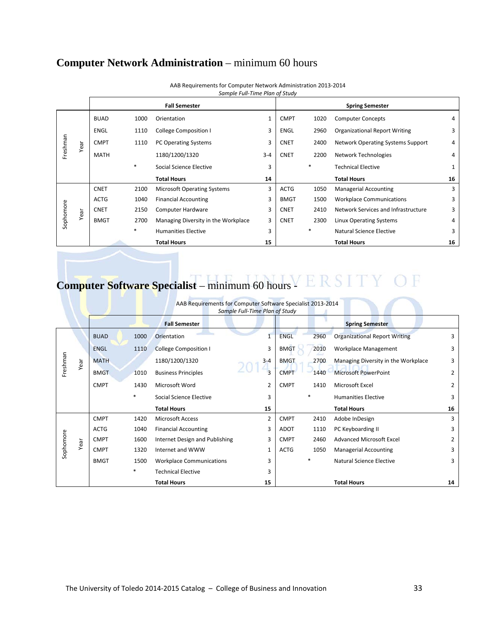# **Computer Network Administration** – minimum 60 hours

|           |      |             |        | <b>Fall Semester</b>                |         |             |        | <b>Spring Semester</b>               |    |
|-----------|------|-------------|--------|-------------------------------------|---------|-------------|--------|--------------------------------------|----|
|           |      | <b>BUAD</b> | 1000   | Orientation                         | 1       | <b>CMPT</b> | 1020   | <b>Computer Concepts</b>             | 4  |
|           |      | ENGL        | 1110   | <b>College Composition I</b>        | 3       | ENGL        | 2960   | <b>Organizational Report Writing</b> | 3  |
| Freshman  | Year | <b>CMPT</b> | 1110   | PC Operating Systems                | 3       | <b>CNET</b> | 2400   | Network Operating Systems Support    | 4  |
|           |      | <b>MATH</b> |        | 1180/1200/1320                      | $3 - 4$ | <b>CNET</b> | 2200   | Network Technologies                 | 4  |
|           |      |             | $\ast$ | Social Science Elective             | 3       |             | $\ast$ | <b>Technical Elective</b>            | 1  |
|           |      |             |        | <b>Total Hours</b>                  | 14      |             |        | <b>Total Hours</b>                   | 16 |
|           |      |             |        |                                     |         |             |        |                                      |    |
|           |      | <b>CNET</b> | 2100   | <b>Microsoft Operating Systems</b>  | 3       | <b>ACTG</b> | 1050   | <b>Managerial Accounting</b>         | 3  |
|           |      | <b>ACTG</b> | 1040   | <b>Financial Accounting</b>         | 3       | <b>BMGT</b> | 1500   | <b>Workplace Communications</b>      | 3  |
|           |      | <b>CNET</b> | 2150   | Computer Hardware                   | 3       | <b>CNET</b> | 2410   | Network Services and Infrastructure  | 3  |
|           | Year | <b>BMGT</b> | 2700   | Managing Diversity in the Workplace | 3       | <b>CNET</b> | 2300   | Linux Operating Systems              | 4  |
| Sophomore |      |             | $\ast$ | <b>Humanities Elective</b>          | 3       |             | $\ast$ | Natural Science Elective             | 3  |

AAB Requirements for Computer Network Administration 2013-2014 *Sample Full-Time Plan of Study*

### **Computer Software Specialist** – minimum 60 hours  $Y \to \mathbb{R}$  S ГҮ

|           | AAB Requirements for Computer Software Specialist 2013-2014<br>Sample Full-Time Plan of Study |             |        |                                 |         |  |             |      |                                      |    |
|-----------|-----------------------------------------------------------------------------------------------|-------------|--------|---------------------------------|---------|--|-------------|------|--------------------------------------|----|
|           |                                                                                               |             |        | <b>Fall Semester</b>            |         |  |             |      | <b>Spring Semester</b>               |    |
|           |                                                                                               | <b>BUAD</b> | 1000   | Orientation                     |         |  | <b>ENGL</b> | 2960 | <b>Organizational Report Writing</b> | 3  |
|           |                                                                                               | <b>ENGL</b> | 1110   | <b>College Composition I</b>    | 3       |  | <b>BMGT</b> | 2010 | <b>Workplace Management</b>          | 3  |
| Freshman  | Year                                                                                          | <b>MATH</b> |        | 1180/1200/1320                  | $3 - 4$ |  | <b>BMGT</b> | 2700 | Managing Diversity in the Workplace  | 3  |
|           |                                                                                               | <b>BMGT</b> | 1010   | <b>Business Principles</b>      | 3       |  | <b>CMPT</b> | 1440 | <b>Microsoft PowerPoint</b>          | 2  |
|           |                                                                                               | <b>CMPT</b> | 1430   | Microsoft Word                  | 2       |  | <b>CMPT</b> | 1410 | Microsoft Excel                      | 2  |
|           |                                                                                               |             | $\ast$ | Social Science Elective         | 3       |  |             |      | <b>Humanities Elective</b>           | 3  |
|           |                                                                                               |             |        | <b>Total Hours</b>              | 15      |  |             |      | <b>Total Hours</b>                   | 16 |
|           |                                                                                               | <b>CMPT</b> | 1420   | <b>Microsoft Access</b>         | 2       |  | <b>CMPT</b> | 2410 | Adobe InDesign                       | 3  |
|           |                                                                                               | <b>ACTG</b> | 1040   | <b>Financial Accounting</b>     | 3       |  | <b>ADOT</b> | 1110 | PC Keyboarding II                    | 3  |
|           | Year                                                                                          | <b>CMPT</b> | 1600   | Internet Design and Publishing  | 3       |  | <b>CMPT</b> | 2460 | <b>Advanced Microsoft Excel</b>      | 2  |
| Sophomore |                                                                                               | <b>CMPT</b> | 1320   | Internet and WWW                | 1       |  | <b>ACTG</b> | 1050 | <b>Managerial Accounting</b>         | 3  |
|           |                                                                                               | <b>BMGT</b> | 1500   | <b>Workplace Communications</b> | 3       |  |             |      | Natural Science Elective             | 3  |
|           |                                                                                               |             | $\ast$ | <b>Technical Elective</b>       | 3       |  |             |      |                                      |    |
|           |                                                                                               |             |        | <b>Total Hours</b>              | 15      |  |             |      | <b>Total Hours</b>                   | 14 |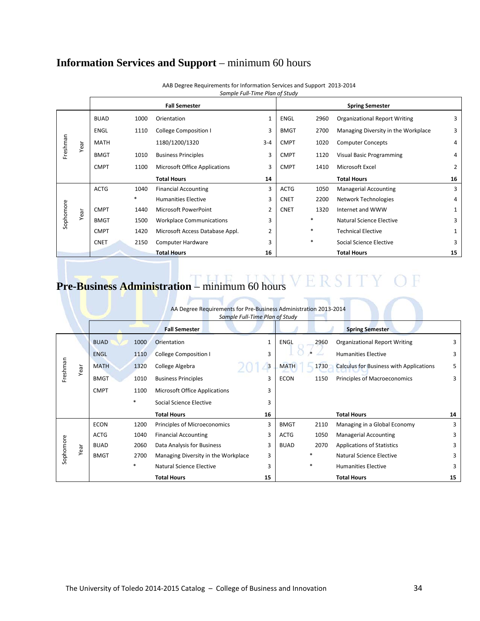# **Information Services and Support** – minimum 60 hours

|           |      |             |        | <b>Fall Semester</b>                 |                |             |        | <b>Spring Semester</b>               |                |
|-----------|------|-------------|--------|--------------------------------------|----------------|-------------|--------|--------------------------------------|----------------|
|           |      | <b>BUAD</b> | 1000   | Orientation                          | 1              | <b>ENGL</b> | 2960   | <b>Organizational Report Writing</b> | 3              |
|           |      | ENGL        | 1110   | College Composition I                | 3              | <b>BMGT</b> | 2700   | Managing Diversity in the Workplace  | 3              |
| Freshman  | Year | <b>MATH</b> |        | 1180/1200/1320                       | $3 - 4$        | <b>CMPT</b> | 1020   | <b>Computer Concepts</b>             | 4              |
|           |      | <b>BMGT</b> | 1010   | <b>Business Principles</b>           | 3              | <b>CMPT</b> | 1120   | Visual Basic Programming             | 4              |
|           |      | <b>CMPT</b> | 1100   | <b>Microsoft Office Applications</b> | 3              | <b>CMPT</b> | 1410   | Microsoft Excel                      | $\overline{2}$ |
|           |      |             |        | <b>Total Hours</b>                   | 14             |             |        | <b>Total Hours</b>                   | 16             |
|           |      | <b>ACTG</b> | 1040   | <b>Financial Accounting</b>          | 3              | <b>ACTG</b> | 1050   | <b>Managerial Accounting</b>         | 3              |
|           |      |             | $\ast$ | <b>Humanities Elective</b>           | 3              | <b>CNET</b> | 2200   | Network Technologies                 | 4              |
|           | Year | <b>CMPT</b> | 1440   | Microsoft PowerPoint                 | $\overline{2}$ | <b>CNET</b> | 1320   | Internet and WWW                     | 1              |
| Sophomore |      | <b>BMGT</b> | 1500   | <b>Workplace Communications</b>      | 3              |             | $\ast$ | Natural Science Elective             | 3              |
|           |      | <b>CMPT</b> | 1420   | Microsoft Access Database Appl.      | 2              |             | $\ast$ | <b>Technical Elective</b>            | 1              |
|           |      | <b>CNET</b> | 2150   | Computer Hardware                    | 3              |             | $\ast$ | Social Science Elective              | 3              |
|           |      |             |        | <b>Total Hours</b>                   | 16             |             |        | <b>Total Hours</b>                   | 15             |

AAB Degree Requirements for Information Services and Support 2013-2014 *Sample Full-Time Plan of Study*

# Pre-Business Administration – minimum 60 hours VERSITY OF

 $\rightarrow$ 

| AA Degree Requirements for Pre-Business Administration 2013-2014 |                                |  |  |  |
|------------------------------------------------------------------|--------------------------------|--|--|--|
|                                                                  | Sample Full-Time Plan of Study |  |  |  |

|           |             |             |                                     | <b>Fall Semester</b>                 |                |             |                          | <b>Spring Semester</b>                         |    |
|-----------|-------------|-------------|-------------------------------------|--------------------------------------|----------------|-------------|--------------------------|------------------------------------------------|----|
|           |             | <b>BUAD</b> | 1000                                | Orientation                          | 1              | <b>ENGL</b> | 2960                     | <b>Organizational Report Writing</b>           | 3  |
|           |             | <b>ENGL</b> | 1110                                | <b>College Composition I</b>         | 3              |             |                          | <b>Humanities Elective</b>                     | 3  |
| Freshman  | Year        | <b>MATH</b> | 1320                                | College Algebra                      | $\overline{3}$ | <b>MATH</b> | 1730                     | <b>Calculus for Business with Applications</b> | 5  |
|           |             | <b>BMGT</b> | 1010                                | <b>Business Principles</b>           | 3              | <b>ECON</b> | 1150                     | Principles of Macroeconomics                   | 3  |
|           |             | <b>CMPT</b> | 1100                                | <b>Microsoft Office Applications</b> | 3              |             |                          |                                                |    |
|           |             |             | *                                   | Social Science Elective              | 3              |             |                          |                                                |    |
|           |             |             |                                     | <b>Total Hours</b>                   | 16             |             |                          | <b>Total Hours</b>                             | 14 |
|           |             | <b>ECON</b> | 1200                                | Principles of Microeconomics         | 3              | <b>BMGT</b> | 2110                     | Managing in a Global Economy                   | 3  |
|           |             | <b>ACTG</b> | 1040                                | <b>Financial Accounting</b>          | 3              | <b>ACTG</b> | 1050                     | <b>Managerial Accounting</b>                   | 3  |
| Sophomore | Year        | <b>BUAD</b> | 2060                                | Data Analysis for Business           | 3              | <b>BUAD</b> | 2070                     | <b>Applications of Statistics</b>              | 3  |
|           | <b>BMGT</b> | 2700        | Managing Diversity in the Workplace | 3                                    |                | $\ast$      | Natural Science Elective | 3                                              |    |
|           |             |             | *                                   | Natural Science Elective             | 3              |             | $\ast$                   | <b>Humanities Elective</b>                     | 3  |
|           |             |             |                                     | <b>Total Hours</b>                   | 15             |             |                          | <b>Total Hours</b>                             | 15 |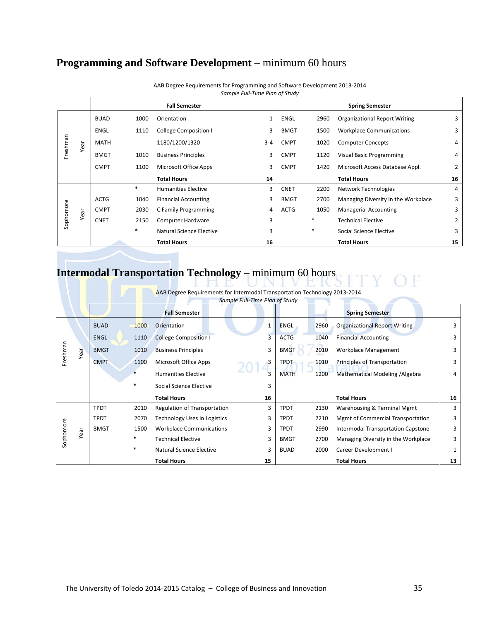# **Programming and Software Development** – minimum 60 hours

|           |      |             |        | <b>Fall Semester</b>         |         |             |        | <b>Spring Semester</b>               |    |
|-----------|------|-------------|--------|------------------------------|---------|-------------|--------|--------------------------------------|----|
|           |      | <b>BUAD</b> | 1000   | Orientation                  |         | ENGL        | 2960   | <b>Organizational Report Writing</b> | 3  |
|           |      | <b>ENGL</b> | 1110   | <b>College Composition I</b> | 3       | <b>BMGT</b> | 1500   | <b>Workplace Communications</b>      | 3  |
| Freshman  | Year | <b>MATH</b> |        | 1180/1200/1320               | $3 - 4$ | <b>CMPT</b> | 1020   | <b>Computer Concepts</b>             | 4  |
|           |      | <b>BMGT</b> | 1010   | <b>Business Principles</b>   | 3       | <b>CMPT</b> | 1120   | <b>Visual Basic Programming</b>      | 4  |
|           |      | <b>CMPT</b> | 1100   | Microsoft Office Apps        | 3       | <b>CMPT</b> | 1420   | Microsoft Access Database Appl.      | 2  |
|           |      |             |        | <b>Total Hours</b>           | 14      |             |        | <b>Total Hours</b>                   | 16 |
|           |      |             | $\ast$ | <b>Humanities Elective</b>   | 3       | <b>CNET</b> | 2200   | Network Technologies                 | 4  |
|           |      | <b>ACTG</b> | 1040   | <b>Financial Accounting</b>  | 3       | <b>BMGT</b> | 2700   | Managing Diversity in the Workplace  | 3  |
|           | Year | <b>CMPT</b> | 2030   | C Family Programming         | 4       | <b>ACTG</b> | 1050   | <b>Managerial Accounting</b>         | 3  |
| Sophomore |      | <b>CNET</b> | 2150   | Computer Hardware            | 3       |             | $\ast$ | <b>Technical Elective</b>            | 2  |
|           |      |             | $\ast$ | Natural Science Elective     | 3       |             | $\ast$ | Social Science Elective              | 3  |
|           |      |             |        | <b>Total Hours</b>           | 16      |             |        | <b>Total Hours</b>                   | 15 |

AAB Degree Requirements for Programming and Software Development 2013-2014 *Sample Full-Time Plan of Study*

# **Intermodal Transportation Technology** – minimum 60 hours

|          | AAB Degree Requirements for Intermodal Transportation Technology 2013-2014<br>Sample Full-Time Plan of Study |             |      |                                     |                         |             |      |                                          |    |
|----------|--------------------------------------------------------------------------------------------------------------|-------------|------|-------------------------------------|-------------------------|-------------|------|------------------------------------------|----|
|          |                                                                                                              |             |      | <b>Fall Semester</b>                |                         |             |      | <b>Spring Semester</b>                   |    |
|          |                                                                                                              | <b>BUAD</b> | 1000 | Orientation                         | 1                       | <b>ENGL</b> | 2960 | <b>Organizational Report Writing</b>     | 3  |
|          |                                                                                                              | <b>ENGL</b> | 1110 | <b>College Composition I</b>        | 3                       | <b>ACTG</b> | 1040 | <b>Financial Accounting</b>              |    |
| Freshman | Year                                                                                                         | <b>BMGT</b> | 1010 | <b>Business Principles</b>          | 3                       | <b>BMGT</b> | 2010 | Workplace Management                     | 3  |
|          |                                                                                                              | <b>CMPT</b> | 1100 | Microsoft Office Apps               | 3                       | <b>TPDT</b> | 1010 | Principles of Transportation             | 3  |
|          |                                                                                                              |             |      | <b>Humanities Elective</b>          | $\overline{\mathbf{3}}$ | <b>MATH</b> | 1200 | Mathematical Modeling / Algebra          | 4  |
|          |                                                                                                              |             | *    | Social Science Elective             | 3                       |             |      |                                          |    |
|          |                                                                                                              |             |      | <b>Total Hours</b>                  | 16                      |             |      | <b>Total Hours</b>                       | 16 |
|          |                                                                                                              | <b>TPDT</b> | 2010 | Regulation of Transportation        | 3                       | <b>TPDT</b> | 2130 | Warehousing & Terminal Mgmt              | 3  |
|          |                                                                                                              | <b>TPDT</b> | 2070 | <b>Technology Uses in Logistics</b> | 3                       | <b>TPDT</b> | 2210 | <b>Mgmt of Commercial Transportation</b> | 3  |
|          | Sophomore<br>Year                                                                                            | <b>BMGT</b> | 1500 | <b>Workplace Communications</b>     | 3                       | <b>TPDT</b> | 2990 | Intermodal Transportation Capstone       | 3  |
|          |                                                                                                              |             | *    | <b>Technical Elective</b>           | 3                       | <b>BMGT</b> | 2700 | Managing Diversity in the Workplace      | 3  |
|          |                                                                                                              |             | *    | Natural Science Elective            | 3                       | <b>BUAD</b> | 2000 | Career Development I                     |    |
|          |                                                                                                              |             |      | <b>Total Hours</b>                  | 15                      |             |      | <b>Total Hours</b>                       | 13 |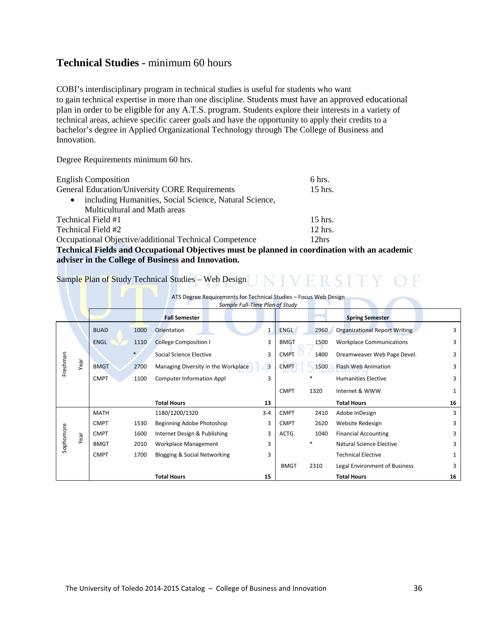### **Technical Studies -** minimum 60 hours

COBI's interdisciplinary program in technical studies is useful for students who want to gain technical expertise in more than one discipline. Students must have an approved educational plan in order to be eligible for any A.T.S. program. Students explore their interests in a variety of technical areas, achieve specific career goals and have the opportunity to apply their credits to a bachelor's degree in Applied Organizational Technology through The College of Business and Innovation.

Degree Requirements minimum 60 hrs.

| <b>English Composition</b>                                                                                          | 6 hrs.    |                  |
|---------------------------------------------------------------------------------------------------------------------|-----------|------------------|
| <b>General Education/University CORE Requirements</b>                                                               | 15 hrs.   |                  |
| including Humanities, Social Science, Natural Science,<br>$\bullet$                                                 |           |                  |
| Multicultural and Math areas                                                                                        |           |                  |
| Technical Field #1                                                                                                  | $15$ hrs. |                  |
| Technical Field #2                                                                                                  | 12 hrs.   |                  |
| Occupational Objective/additional Technical Competence                                                              | 12hrs     |                  |
| $\mathbf{m}$ is the integral of the state of $\mathbf{m}$ is the state of $\mathbf{m}$ is the state of $\mathbf{m}$ |           | $^{\bullet}$ 4 H |

**Technical Fields and Occupational Objectives must be planned in coordination with an academic adviser in the College of Business and Innovation.**

### Sample Plan of Study Technical Studies – Web Design JNIVERSITY OF

**The Company of the Company** 

|           | ATS Degree Requirements for Technical Studies - Focus Web Design<br>Sample Full-Time Plan of Study |             |      |                                         |                |             |        |                                      |              |
|-----------|----------------------------------------------------------------------------------------------------|-------------|------|-----------------------------------------|----------------|-------------|--------|--------------------------------------|--------------|
|           |                                                                                                    |             |      | <b>Fall Semester</b>                    |                |             |        | <b>Spring Semester</b>               |              |
|           |                                                                                                    | <b>BUAD</b> | 1000 | Orientation                             | $\mathbf{1}$   | ENGL        | 2960   | <b>Organizational Report Writing</b> | 3            |
|           |                                                                                                    | <b>ENGL</b> | 1110 | <b>College Composition I</b>            | 3              | <b>BMGT</b> | 1500   | <b>Workplace Communications</b>      | 3            |
|           |                                                                                                    |             |      | Social Science Elective                 | 3              | <b>CMPT</b> | 1400   | Dreamweaver Web Page Devel.          | 3            |
| Freshman  | Year                                                                                               | <b>BMGT</b> | 2700 | Managing Diversity in the Workplace     | $\overline{3}$ | <b>CMPT</b> | 1500   | <b>Flash Web Animation</b>           | 3            |
|           |                                                                                                    | <b>CMPT</b> | 1100 | <b>Computer Information Appl</b>        | 3              |             | $\ast$ | <b>Humanities Elective</b>           | 3            |
|           |                                                                                                    |             |      |                                         |                | <b>CMPT</b> | 1320   | Internet & WWW                       | $\mathbf{1}$ |
|           |                                                                                                    |             |      | <b>Total Hours</b>                      | 13             |             |        | <b>Total Hours</b>                   | 16           |
|           |                                                                                                    | <b>MATH</b> |      | 1180/1200/1320                          | $3 - 4$        | <b>CMPT</b> | 2410   | Adobe InDesign                       | 3            |
|           |                                                                                                    | <b>CMPT</b> | 1530 | Beginning Adobe Photoshop               | 3              | <b>CMPT</b> | 2620   | Website Redesign                     | 3            |
|           | Year                                                                                               | <b>CMPT</b> | 1600 | Internet Design & Publishing            | 3              | <b>ACTG</b> | 1040   | <b>Financial Accounting</b>          | 3            |
| Sophomore |                                                                                                    | <b>BMGT</b> | 2010 | Workplace Management                    | 3              |             | $\ast$ | Natural Science Elective             | 3            |
|           |                                                                                                    | <b>CMPT</b> | 1700 | <b>Blogging &amp; Social Networking</b> | 3              |             |        | <b>Technical Elective</b>            | 1            |
|           |                                                                                                    |             |      |                                         |                | <b>BMGT</b> | 2310   | Legal Environment of Business        | 3            |
|           |                                                                                                    |             |      | <b>Total Hours</b>                      | 15             |             |        | <b>Total Hours</b>                   | 16           |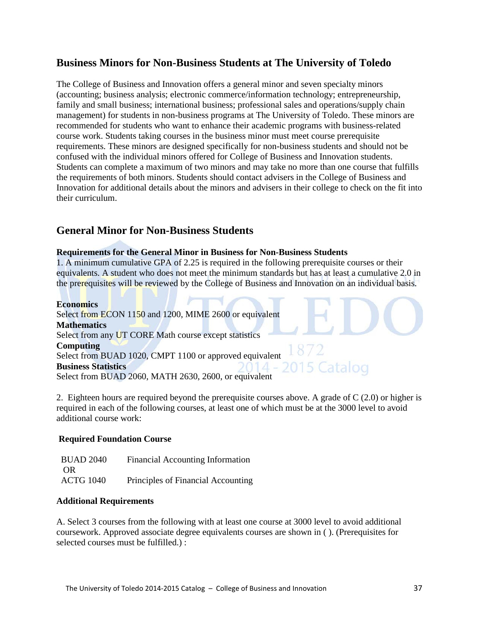### **Business Minors for Non-Business Students at The University of Toledo**

The College of Business and Innovation offers a general minor and seven specialty minors (accounting; business analysis; electronic commerce/information technology; entrepreneurship, family and small business; international business; professional sales and operations/supply chain management) for students in non-business programs at The University of Toledo. These minors are recommended for students who want to enhance their academic programs with business-related course work. Students taking courses in the business minor must meet course prerequisite requirements. These minors are designed specifically for non-business students and should not be confused with the individual minors offered for College of Business and Innovation students. Students can complete a maximum of two minors and may take no more than one course that fulfills the requirements of both minors. Students should contact advisers in the College of Business and Innovation for additional details about the minors and advisers in their college to check on the fit into their curriculum.

### **General Minor for Non-Business Students**

### **Requirements for the General Minor in Business for Non-Business Students**

1. A minimum cumulative GPA of 2.25 is required in the following prerequisite courses or their equivalents. A student who does not meet the minimum standards but has at least a cumulative 2.0 in the prerequisites will be reviewed by the College of Business and Innovation on an individual basis.

### **Economics**

Select from ECON 1150 and 1200, MIME 2600 or equivalent **Mathematics**  Select from any UT CORE Math course except statistics **Computing** Select from BUAD 1020, CMPT 1100 or approved equivalent **Business Statistics**  Select from BUAD 2060, MATH 2630, 2600, or equivalent

2. Eighteen hours are required beyond the prerequisite courses above. A grade of C (2.0) or higher is required in each of the following courses, at least one of which must be at the 3000 level to avoid additional course work:

5 Catalog

### **Required Foundation Course**

| <b>BUAD 2040</b> | <b>Financial Accounting Information</b> |
|------------------|-----------------------------------------|
| OR               |                                         |
| <b>ACTG 1040</b> | Principles of Financial Accounting      |

### **Additional Requirements**

A. Select 3 courses from the following with at least one course at 3000 level to avoid additional coursework. Approved associate degree equivalents courses are shown in ( ). (Prerequisites for selected courses must be fulfilled.) :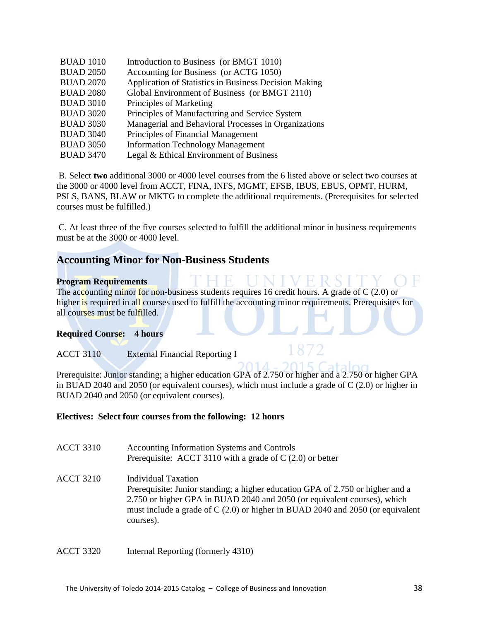| <b>BUAD 1010</b> | Introduction to Business (or BMGT 1010)               |
|------------------|-------------------------------------------------------|
| <b>BUAD 2050</b> | Accounting for Business (or ACTG 1050)                |
| <b>BUAD 2070</b> | Application of Statistics in Business Decision Making |
| <b>BUAD 2080</b> | Global Environment of Business (or BMGT 2110)         |
| <b>BUAD 3010</b> | Principles of Marketing                               |
| <b>BUAD 3020</b> | Principles of Manufacturing and Service System        |
| <b>BUAD 3030</b> | Managerial and Behavioral Processes in Organizations  |
| <b>BUAD 3040</b> | Principles of Financial Management                    |
| <b>BUAD 3050</b> | <b>Information Technology Management</b>              |
| <b>BUAD 3470</b> | Legal & Ethical Environment of Business               |

B. Select **two** additional 3000 or 4000 level courses from the 6 listed above or select two courses at the 3000 or 4000 level from ACCT, FINA, INFS, MGMT, EFSB, IBUS, EBUS, OPMT, HURM, PSLS, BANS, BLAW or MKTG to complete the additional requirements. (Prerequisites for selected courses must be fulfilled.)

C. At least three of the five courses selected to fulfill the additional minor in business requirements must be at the 3000 or 4000 level.

### **Accounting Minor for Non-Business Students**

### **Program Requirements**

The accounting minor for non-business students requires 16 credit hours. A grade of C (2.0) or higher is required in all courses used to fulfill the accounting minor requirements. Prerequisites for all courses must be fulfilled.

### **Required Course: 4 hours**

### ACCT 3110 External Financial Reporting I

Prerequisite: Junior standing; a higher education GPA of 2.750 or higher and a 2.750 or higher GPA in BUAD 2040 and 2050 (or equivalent courses), which must include a grade of C (2.0) or higher in BUAD 2040 and 2050 (or equivalent courses).

### **Electives: Select four courses from the following: 12 hours**

| <b>ACCT 3310</b> | Accounting Information Systems and Controls<br>Prerequisite: ACCT 3110 with a grade of $C(2.0)$ or better                                                                                                                                                                         |
|------------------|-----------------------------------------------------------------------------------------------------------------------------------------------------------------------------------------------------------------------------------------------------------------------------------|
| <b>ACCT 3210</b> | Individual Taxation<br>Prerequisite: Junior standing; a higher education GPA of 2.750 or higher and a<br>2.750 or higher GPA in BUAD 2040 and 2050 (or equivalent courses), which<br>must include a grade of $C(2.0)$ or higher in BUAD 2040 and 2050 (or equivalent<br>courses). |

ACCT 3320 Internal Reporting (formerly 4310)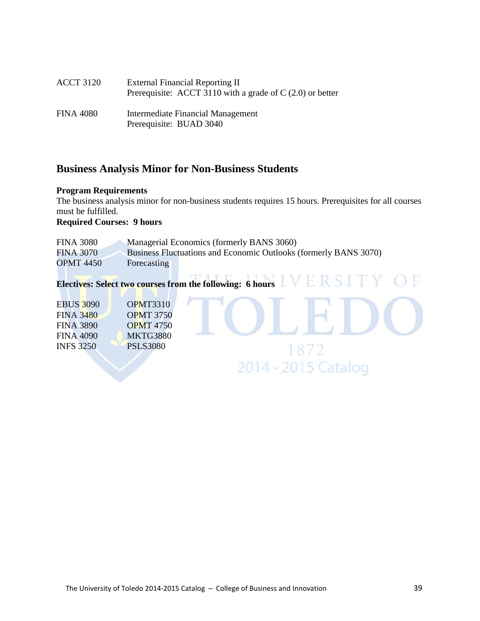| <b>ACCT 3120</b> | <b>External Financial Reporting II</b><br>Prerequisite: ACCT 3110 with a grade of $C(2.0)$ or better |
|------------------|------------------------------------------------------------------------------------------------------|
| <b>FINA 4080</b> | Intermediate Financial Management<br>Prerequisite: BUAD 3040                                         |

### **Business Analysis Minor for Non-Business Students**

### **Program Requirements**

The business analysis minor for non-business students requires 15 hours. Prerequisites for all courses must be fulfilled.

1872

2014 - 2015 Catalog

### **Required Courses: 9 hours**

| <b>FINA 3080</b> |             | Managerial Economics (formerly BANS 3060)                        |
|------------------|-------------|------------------------------------------------------------------|
| <b>FINA 3070</b> |             | Business Fluctuations and Economic Outlooks (formerly BANS 3070) |
| <b>OPMT 4450</b> | Forecasting |                                                                  |

# **Electives: Select two courses from the following: 6 hours**

| <b>EBUS 3090</b> | <b>OPMT3310</b>  |
|------------------|------------------|
| <b>FINA 3480</b> | <b>OPMT 3750</b> |
| <b>FINA 3890</b> | <b>OPMT</b> 4750 |
| <b>FINA 4090</b> | <b>MKTG3880</b>  |
| <b>INFS 3250</b> | <b>PSLS3080</b>  |
|                  |                  |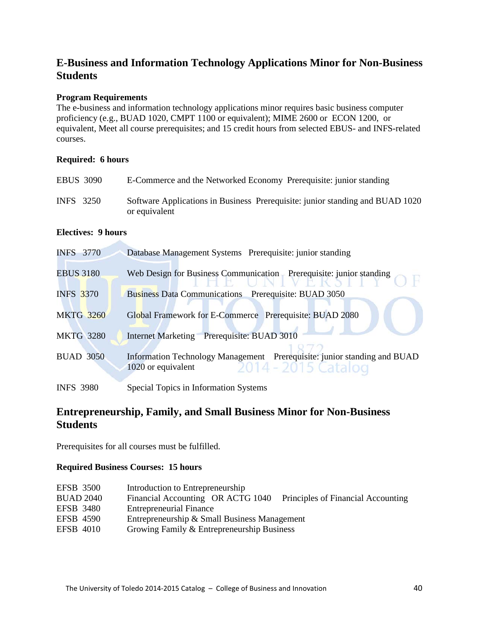### **E-Business and Information Technology Applications Minor for Non-Business Students**

### **Program Requirements**

The e-business and information technology applications minor requires basic business computer proficiency (e.g., BUAD 1020, CMPT 1100 or equivalent); MIME 2600 or ECON 1200, or equivalent, Meet all course prerequisites; and 15 credit hours from selected EBUS- and INFS-related courses.

### **Required: 6 hours**

| <b>EBUS 3090</b> | E-Commerce and the Networked Economy Prerequisite: junior standing                             |
|------------------|------------------------------------------------------------------------------------------------|
| INFS 3250        | Software Applications in Business Prerequisite: junior standing and BUAD 1020<br>or equivalent |

### **Electives: 9 hours**

**Contract** 

| <b>INFS</b> 3770 | Database Management Systems Prerequisite: junior standing                                                            |
|------------------|----------------------------------------------------------------------------------------------------------------------|
| <b>EBUS 3180</b> | Web Design for Business Communication Prerequisite: junior standing                                                  |
| <b>INFS 3370</b> | Business Data Communications Prerequisite: BUAD 3050                                                                 |
| <b>MKTG 3260</b> | Global Framework for E-Commerce Prerequisite: BUAD 2080                                                              |
| <b>MKTG 3280</b> | Internet Marketing Prerequisite: BUAD 3010                                                                           |
| <b>BUAD 3050</b> | Information Technology Management Prerequisite: junior standing and BUAD<br>1020 or equivalent $2014 - 2015$ Catalog |
| <b>INFS 3980</b> | Special Topics in Information Systems                                                                                |

### **Entrepreneurship, Family, and Small Business Minor for Non-Business Students**

Prerequisites for all courses must be fulfilled.

### **Required Business Courses: 15 hours**

| <b>EFSB 3500</b> | Introduction to Entrepreneurship                                        |
|------------------|-------------------------------------------------------------------------|
| <b>BUAD 2040</b> | Financial Accounting OR ACTG 1040<br>Principles of Financial Accounting |
| <b>EFSB</b> 3480 | <b>Entrepreneurial Finance</b>                                          |
| <b>EFSB 4590</b> | Entrepreneurship & Small Business Management                            |
| EFSB 4010        | Growing Family & Entrepreneurship Business                              |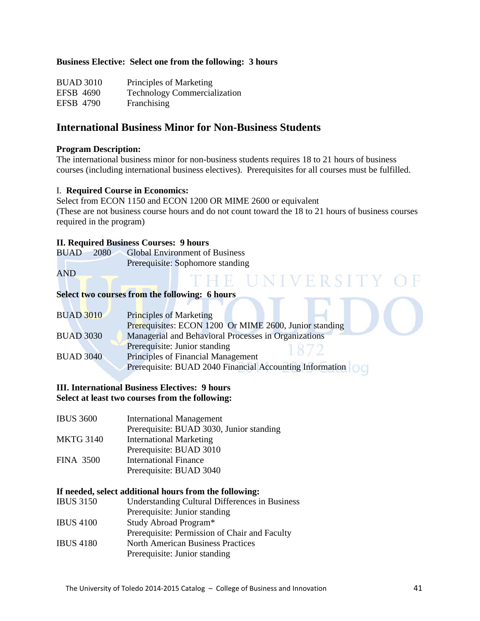### **Business Elective: Select one from the following: 3 hours**

| <b>BUAD 3010</b> | Principles of Marketing             |
|------------------|-------------------------------------|
| EFSB 4690        | <b>Technology Commercialization</b> |
| EFSB 4790        | Franchising                         |

### **International Business Minor for Non-Business Students**

### **Program Description:**

The international business minor for non-business students requires 18 to 21 hours of business courses (including international business electives). Prerequisites for all courses must be fulfilled.

### I. **Required Course in Economics:**

Select from ECON 1150 and ECON 1200 OR MIME 2600 or equivalent (These are not business course hours and do not count toward the 18 to 21 hours of business courses required in the program)

**The Second Second Second Second Second** 

### **II. Required Business Courses: 9 hours**

|  | BUAD 2080 Global Environment of Business |
|--|------------------------------------------|
|  | Prerequisite: Sophomore standing         |

AND

# THE UNIVERSITY OF **Select two courses from the following: 6 hours**

| <b>BUAD 3010</b> | <b>Principles of Marketing</b>                           |
|------------------|----------------------------------------------------------|
|                  | Prerequisites: ECON 1200 Or MIME 2600, Junior standing   |
| <b>BUAD 3030</b> | Managerial and Behavioral Processes in Organizations     |
|                  | Prerequisite: Junior standing                            |
| <b>BUAD 3040</b> | Principles of Financial Management                       |
|                  | Prerequisite: BUAD 2040 Financial Accounting Information |
|                  |                                                          |

### **III. International Business Electives: 9 hours Select at least two courses from the following:**

| <b>International Management</b>          |
|------------------------------------------|
| Prerequisite: BUAD 3030, Junior standing |
| <b>International Marketing</b>           |
| Prerequisite: BUAD 3010                  |
| <b>International Finance</b>             |
| Prerequisite: BUAD 3040                  |
|                                          |

### **If needed, select additional hours from the following:**

| <b>IBUS 3150</b> | <b>Understanding Cultural Differences in Business</b> |
|------------------|-------------------------------------------------------|
|                  | Prerequisite: Junior standing                         |
| <b>IBUS 4100</b> | Study Abroad Program*                                 |
|                  | Prerequisite: Permission of Chair and Faculty         |
| <b>IBUS 4180</b> | <b>North American Business Practices</b>              |
|                  | Prerequisite: Junior standing                         |